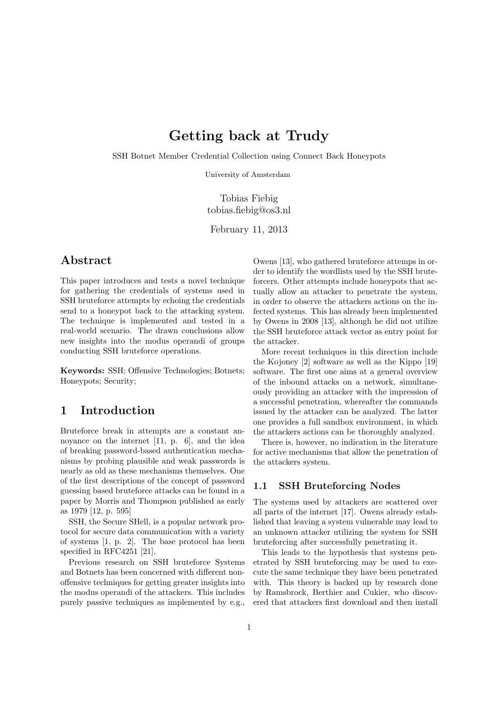# Getting back at Trudy

SSH Botnet Member Credential Collection using Connect Back Honeypots

University of Amsterdam

Tobias Fiebig tobias.fiebig@os3.nl

February 11, 2013

### Abstract

This paper introduces and tests a novel technique for gathering the credentials of systems used in SSH bruteforce attempts by echoing the credentials send to a honeypot back to the attacking system. The technique is implemented and tested in a real-world scenario. The drawn conclusions allow new insights into the modus operandi of groups conducting SSH bruteforce operations.

Keywords: SSH; Offensive Technologies; Botnets; Honeypots; Security;

# 1 Introduction

Bruteforce break in attempts are a constant annoyance on the internet [11, p. 6], and the idea of breaking password-based authentication mechanisms by probing plausible and weak passwords is nearly as old as these mechanisms themselves. One of the first descriptions of the concept of password guessing based bruteforce attacks can be found in a paper by Morris and Thompson published as early as 1979 [12, p. 595]

SSH, the Secure SHell, is a popular network protocol for secure data communication with a variety of systems [1, p. 2]. The base protocol has been specified in RFC4251 [21].

Previous research on SSH bruteforce Systems and Botnets has been concerned with different nonoffensive techniques for getting greater insights into the modus operandi of the attackers. This includes purely passive techniques as implemented by e.g., Owens [13], who gathered bruteforce attemps in order to identify the wordlists used by the SSH bruteforcers. Other attempts include honeypots that actually allow an attacker to penetrate the system, in order to observe the attackers actions on the infected systems. This has already been implemented by Owens in 2008 [13], although he did not utilize the SSH bruteforce attack vector as entry point for the attacker.

More recent techniques in this direction include the Kojoney [2] software as well as the Kippo [19] software. The first one aims at a general overview of the inbound attacks on a network, simultaneously providing an attacker with the impression of a successful penetration, whereafter the commands issued by the attacker can be analyzed. The latter one provides a full sandbox environment, in which the attackers actions can be thoroughly analyzed.

There is, however, no indication in the literature for active mechanisms that allow the penetration of the attackers system.

### 1.1 SSH Bruteforcing Nodes

The systems used by attackers are scattered over all parts of the internet [17]. Owens already established that leaving a system vulnerable may lead to an unknown attacker utilizing the system for SSH bruteforcing after successfully penetrating it.

This leads to the hypothesis that systems penetrated by SSH bruteforcing may be used to execute the same technique they have been penetrated with. This theory is backed up by research done by Ramsbrock, Berthier and Cukier, who discovered that attackers first download and then install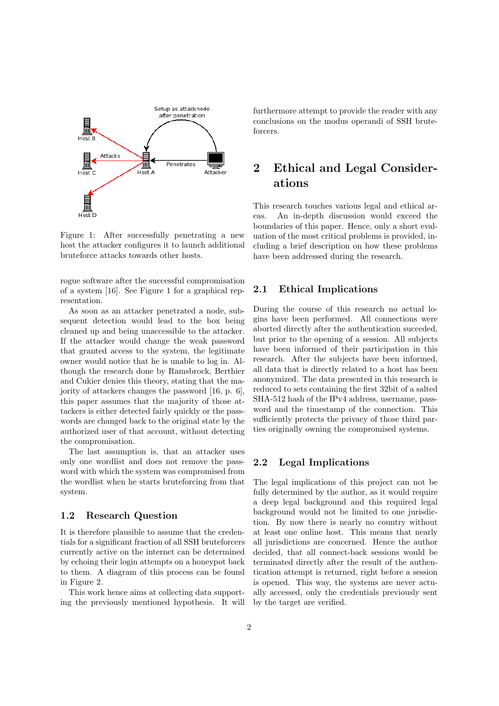

Figure 1: After successfully penetrating a new host the attacker configures it to launch additional bruteforce attacks towards other hosts.

rogue software after the successful compromisation of a system [16]. See Figure 1 for a graphical representation.

As soon as an attacker penetrated a node, subsequent detection would lead to the box being cleaned up and being unaccessible to the attacker. If the attacker would change the weak password that granted access to the system, the legitimate owner would notice that he is unable to log in. Although the research done by Ramsbrock, Berthier and Cukier denies this theory, stating that the majority of attackers changes the password [16, p. 6], this paper assumes that the majority of those attackers is either detected fairly quickly or the passwords are changed back to the original state by the authorized user of that account, without detecting the compromisation.

The last assumption is, that an attacker uses only one wordlist and does not remove the password with which the system was compromised from the wordlist when he starts bruteforcing from that system.

#### 1.2 Research Question

It is therefore plausible to assume that the credentials for a significant fraction of all SSH bruteforcers currently active on the internet can be determined by echoing their login attempts on a honeypot back to them. A diagram of this process can be found in Figure 2.

This work hence aims at collecting data supporting the previously mentioned hypothesis. It will furthermore attempt to provide the reader with any conclusions on the modus operandi of SSH bruteforcers.

# 2 Ethical and Legal Considerations

This research touches various legal and ethical areas. An in-depth discussion would exceed the boundaries of this paper. Hence, only a short evaluation of the most critical problems is provided, including a brief description on how these problems have been addressed during the research.

### 2.1 Ethical Implications

During the course of this research no actual logins have been performed. All connections were aborted directly after the authentication succeded, but prior to the opening of a session. All subjects have been informed of their participation in this research. After the subjects have been informed, all data that is directly related to a host has been anonymized. The data presented in this research is reduced to sets containing the first 32bit of a salted SHA-512 hash of the IPv4 address, username, password and the timestamp of the connection. This sufficiently protects the privacy of those third parties originally owning the compromised systems.

### 2.2 Legal Implications

The legal implications of this project can not be fully determined by the author, as it would require a deep legal background and this required legal background would not be limited to one jurisdiction. By now there is nearly no country without at least one online host. This means that nearly all jurisdictions are concerned. Hence the author decided, that all connect-back sessions would be terminated directly after the result of the authentication attempt is returned, right before a session is opened. This way, the systems are never actually accessed, only the credentials previously sent by the target are verified.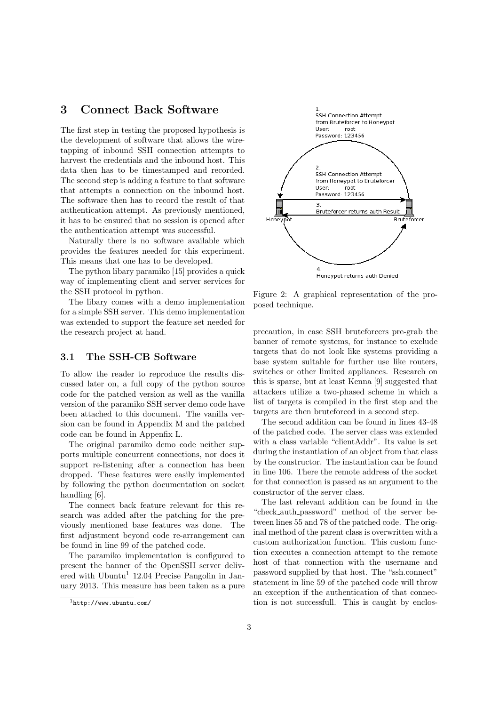# 3 Connect Back Software

The first step in testing the proposed hypothesis is the development of software that allows the wiretapping of inbound SSH connection attempts to harvest the credentials and the inbound host. This data then has to be timestamped and recorded. The second step is adding a feature to that software that attempts a connection on the inbound host. The software then has to record the result of that authentication attempt. As previously mentioned, it has to be ensured that no session is opened after the authentication attempt was successful.

Naturally there is no software available which provides the features needed for this experiment. This means that one has to be developed.

The python libary paramiko [15] provides a quick way of implementing client and server services for the SSH protocol in python.

The libary comes with a demo implementation for a simple SSH server. This demo implementation was extended to support the feature set needed for the research project at hand.

#### 3.1 The SSH-CB Software

To allow the reader to reproduce the results discussed later on, a full copy of the python source code for the patched version as well as the vanilla version of the paramiko SSH server demo code have been attached to this document. The vanilla version can be found in Appendix M and the patched code can be found in Appenfix L.

The original paramiko demo code neither supports multiple concurrent connections, nor does it support re-listening after a connection has been dropped. These features were easily implemented by following the python documentation on socket handling [6].

The connect back feature relevant for this research was added after the patching for the previously mentioned base features was done. The first adjustment beyond code re-arrangement can be found in line 99 of the patched code.

The paramiko implementation is configured to present the banner of the OpenSSH server delivered with  $Ubuntu<sup>1</sup> 12.04$  Precise Pangolin in January 2013. This measure has been taken as a pure



Figure 2: A graphical representation of the proposed technique.

precaution, in case SSH bruteforcers pre-grab the banner of remote systems, for instance to exclude targets that do not look like systems providing a base system suitable for further use like routers, switches or other limited appliances. Research on this is sparse, but at least Kenna [9] suggested that attackers utilize a two-phased scheme in which a list of targets is compiled in the first step and the targets are then bruteforced in a second step.

The second addition can be found in lines 43-48 of the patched code. The server class was extended with a class variable "clientAddr". Its value is set during the instantiation of an object from that class by the constructor. The instantiation can be found in line 106. There the remote address of the socket for that connection is passed as an argument to the constructor of the server class.

The last relevant addition can be found in the "check auth password" method of the server between lines 55 and 78 of the patched code. The original method of the parent class is overwritten with a custom authorization function. This custom function executes a connection attempt to the remote host of that connection with the username and password supplied by that host. The "ssh.connect" statement in line 59 of the patched code will throw an exception if the authentication of that connection is not successfull. This is caught by enclos-

 $1$ http://www.ubuntu.com/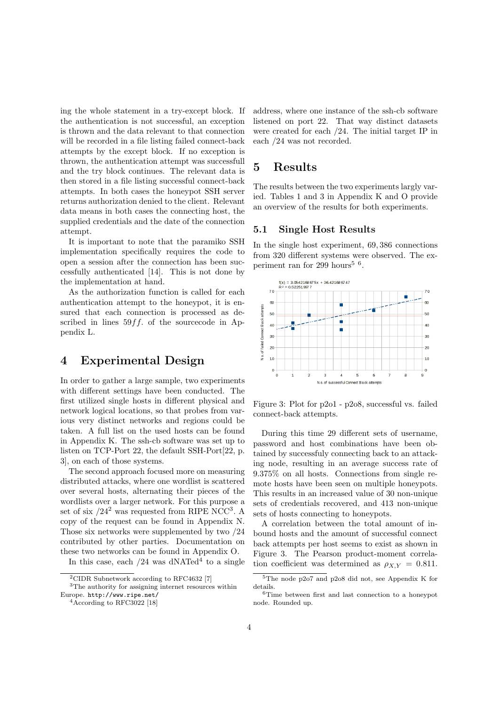ing the whole statement in a try-except block. If the authentication is not successful, an exception is thrown and the data relevant to that connection will be recorded in a file listing failed connect-back attempts by the except block. If no exception is thrown, the authentication attempt was successfull and the try block continues. The relevant data is then stored in a file listing successful connect-back attempts. In both cases the honeypot SSH server returns authorization denied to the client. Relevant data means in both cases the connecting host, the supplied credentials and the date of the connection attempt.

It is important to note that the paramiko SSH implementation specifically requires the code to open a session after the connection has been successfully authenticated [14]. This is not done by the implementation at hand.

As the authorization function is called for each authentication attempt to the honeypot, it is ensured that each connection is processed as described in lines  $59ff$ . of the sourcecode in Appendix L.

## 4 Experimental Design

In order to gather a large sample, two experiments with different settings have been conducted. The first utilized single hosts in different physical and network logical locations, so that probes from various very distinct networks and regions could be taken. A full list on the used hosts can be found in Appendix K. The ssh-cb software was set up to listen on TCP-Port 22, the default SSH-Port[22, p. 3], on each of those systems.

The second approach focused more on measuring distributed attacks, where one wordlist is scattered over several hosts, alternating their pieces of the wordlists over a larger network. For this purpose a set of six  $/24^2$  was requested from RIPE NCC<sup>3</sup>. A copy of the request can be found in Appendix N. Those six networks were supplemented by two /24 contributed by other parties. Documentation on these two networks can be found in Appendix O.

In this case, each  $/24$  was dNATed<sup>4</sup> to a single

address, where one instance of the ssh-cb software listened on port 22. That way distinct datasets were created for each /24. The initial target IP in each /24 was not recorded.

# 5 Results

The results between the two experiments largly varied. Tables 1 and 3 in Appendix K and O provide an overview of the results for both experiments.

### 5.1 Single Host Results

In the single host experiment, 69, 386 connections from 320 different systems were observed. The experiment ran for 299 hours<sup>5  $6$ </sup>.



Figure 3: Plot for p2o1 - p2o8, successful vs. failed connect-back attempts.

During this time 29 different sets of username, password and host combinations have been obtained by successfuly connecting back to an attacking node, resulting in an average success rate of 9.375% on all hosts. Connections from single remote hosts have been seen on multiple honeypots. This results in an increased value of 30 non-unique sets of credentials recovered, and 413 non-unique sets of hosts connecting to honeypots.

A correlation between the total amount of inbound hosts and the amount of successful connect back attempts per host seems to exist as shown in Figure 3. The Pearson product-moment correlation coefficient was determined as  $\rho_{X,Y} = 0.811$ .

<sup>2</sup>CIDR Subnetwork according to RFC4632 [7]

 $^3\mathrm{The}$  authority for assigning internet resources within Europe. http://www.ripe.net/

<sup>&</sup>lt;sup>4</sup> According to RFC3022 [18]

<sup>5</sup>The node p2o7 and p2o8 did not, see Appendix K for details.

<sup>6</sup>Time between first and last connection to a honeypot node. Rounded up.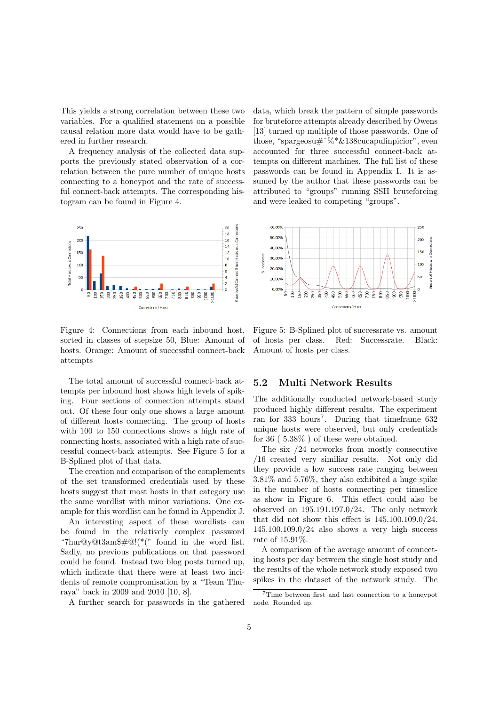This yields a strong correlation between these two variables. For a qualified statement on a possible causal relation more data would have to be gathered in further research.

A frequency analysis of the collected data supports the previously stated observation of a correlation between the pure number of unique hosts connecting to a honeypot and the rate of successful connect-back attempts. The corresponding histogram can be found in Figure 4.



Figure 4: Connections from each inbound host, sorted in classes of stepsize 50, Blue: Amount of hosts. Orange: Amount of successful connect-back attempts

The total amount of successful connect-back attempts per inbound host shows high levels of spiking. Four sections of connection attempts stand out. Of these four only one shows a large amount of different hosts connecting. The group of hosts with 100 to 150 connections shows a high rate of connecting hosts, associated with a high rate of successful connect-back attempts. See Figure 5 for a B-Splined plot of that data.

The creation and comparison of the complements of the set transformed credentials used by these hosts suggest that most hosts in that category use the same wordlist with minor variations. One example for this wordlist can be found in Appendix J.

An interesting aspect of these wordlists can be found in the relatively complex password "7hur@y@t3am\$#@!(\*(" found in the word list. Sadly, no previous publications on that password could be found. Instead two blog posts turned up, which indicate that there were at least two incidents of remote compromisation by a "Team Thuraya" back in 2009 and 2010 [10, 8].

A further search for passwords in the gathered

data, which break the pattern of simple passwords for bruteforce attempts already described by Owens [13] turned up multiple of those passwords. One of those, "spargeosu#^%\*&138cucapulinpicior", even accounted for three successful connect-back attempts on different machines. The full list of these passwords can be found in Appendix I. It is assumed by the author that these passwords can be attributed to "groups" running SSH bruteforcing and were leaked to competing "groups".



Figure 5: B-Splined plot of successrate vs. amount of hosts per class. Red: Successrate. Black: Amount of hosts per class.

### 5.2 Multi Network Results

The additionally conducted network-based study produced highly different results. The experiment ran for 333 hours<sup>7</sup>. During that timeframe 632 unique hosts were observed, but only credentials for 36 ( 5.38% ) of these were obtained.

The six /24 networks from mostly consecutive /16 created very similiar results. Not only did they provide a low success rate ranging between 3.81% and 5.76%, they also exhibited a huge spike in the number of hosts connecting per timeslice as show in Figure 6. This effect could also be observed on 195.191.197.0/24. The only network that did not show this effect is 145.100.109.0/24. 145.100.109.0/24 also shows a very high success rate of 15.91%.

A comparison of the average amount of connecting hosts per day between the single host study and the results of the whole network study exposed two spikes in the dataset of the network study. The

<sup>7</sup>Time between first and last connection to a honeypot node. Rounded up.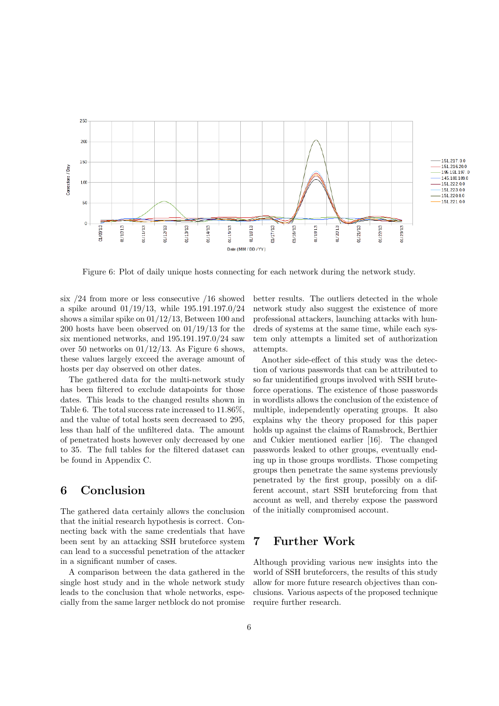

Figure 6: Plot of daily unique hosts connecting for each network during the network study.

six /24 from more or less consecutive /16 showed a spike around 01/19/13, while 195.191.197.0/24 shows a similar spike on 01/12/13, Between 100 and 200 hosts have been observed on 01/19/13 for the six mentioned networks, and 195.191.197.0/24 saw over 50 networks on  $01/12/13$ . As Figure 6 shows, these values largely exceed the average amount of hosts per day observed on other dates.

The gathered data for the multi-network study has been filtered to exclude datapoints for those dates. This leads to the changed results shown in Table 6. The total success rate increased to 11.86%, and the value of total hosts seen decreased to 295, less than half of the unfiltered data. The amount of penetrated hosts however only decreased by one to 35. The full tables for the filtered dataset can be found in Appendix C.

## 6 Conclusion

The gathered data certainly allows the conclusion that the initial research hypothesis is correct. Connecting back with the same credentials that have been sent by an attacking SSH bruteforce system can lead to a successful penetration of the attacker in a significant number of cases.

A comparison between the data gathered in the single host study and in the whole network study leads to the conclusion that whole networks, especially from the same larger netblock do not promise better results. The outliers detected in the whole network study also suggest the existence of more professional attackers, launching attacks with hundreds of systems at the same time, while each system only attempts a limited set of authorization attempts.

Another side-effect of this study was the detection of various passwords that can be attributed to so far unidentified groups involved with SSH bruteforce operations. The existence of those passwords in wordlists allows the conclusion of the existence of multiple, independently operating groups. It also explains why the theory proposed for this paper holds up against the claims of Ramsbrock, Berthier and Cukier mentioned earlier [16]. The changed passwords leaked to other groups, eventually ending up in those groups wordlists. Those competing groups then penetrate the same systems previously penetrated by the first group, possibly on a different account, start SSH bruteforcing from that account as well, and thereby expose the password of the initially compromised account.

### 7 Further Work

Although providing various new insights into the world of SSH bruteforcers, the results of this study allow for more future research objectives than conclusions. Various aspects of the proposed technique require further research.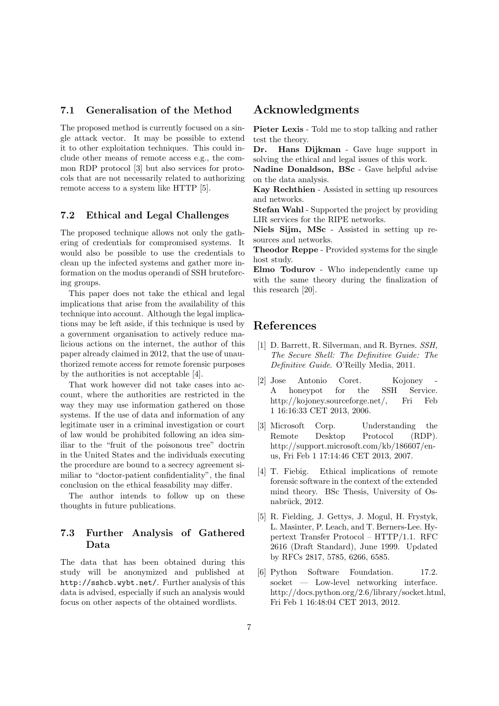#### 7.1 Generalisation of the Method

The proposed method is currently focused on a single attack vector. It may be possible to extend it to other exploitation techniques. This could include other means of remote access e.g., the common RDP protocol [3] but also services for protocols that are not necessarily related to authorizing remote access to a system like HTTP [5].

### 7.2 Ethical and Legal Challenges

The proposed technique allows not only the gathering of credentials for compromised systems. It would also be possible to use the credentials to clean up the infected systems and gather more information on the modus operandi of SSH bruteforcing groups.

This paper does not take the ethical and legal implications that arise from the availability of this technique into account. Although the legal implications may be left aside, if this technique is used by a government organisation to actively reduce malicious actions on the internet, the author of this paper already claimed in 2012, that the use of unauthorized remote access for remote forensic purposes by the authorities is not acceptable [4].

That work however did not take cases into account, where the authorities are restricted in the way they may use information gathered on those systems. If the use of data and information of any legitimate user in a criminal investigation or court of law would be prohibited following an idea similiar to the "fruit of the poisonous tree" doctrin in the United States and the individuals executing the procedure are bound to a secrecy agreement similiar to "doctor-patient confidentiality", the final conclusion on the ethical feasability may differ.

The author intends to follow up on these thoughts in future publications.

### 7.3 Further Analysis of Gathered Data

The data that has been obtained during this study will be anonymized and published at http://sshcb.wybt.net/. Further analysis of this data is advised, especially if such an analysis would focus on other aspects of the obtained wordlists.

## Acknowledgments

Pieter Lexis - Told me to stop talking and rather test the theory.

Dr. Hans Dijkman - Gave huge support in solving the ethical and legal issues of this work.

Nadine Donaldson, BSc - Gave helpful advise on the data analysis.

Kay Rechthien - Assisted in setting up resources and networks.

Stefan Wahl - Supported the project by providing LIR services for the RIPE networks.

Niels Sijm, MSc - Assisted in setting up resources and networks.

Theodor Reppe - Provided systems for the single host study.

Elmo Todurov - Who independently came up with the same theory during the finalization of this research [20].

### References

- [1] D. Barrett, R. Silverman, and R. Byrnes. SSH, The Secure Shell: The Definitive Guide: The Definitive Guide. O'Reilly Media, 2011.
- [2] Jose Antonio Coret. Kojoney A honeypot for the SSH Service. http://kojoney.sourceforge.net/, Fri Feb 1 16:16:33 CET 2013, 2006.
- [3] Microsoft Corp. Understanding the Remote Desktop Protocol (RDP). http://support.microsoft.com/kb/186607/enus, Fri Feb 1 17:14:46 CET 2013, 2007.
- [4] T. Fiebig. Ethical implications of remote forensic software in the context of the extended mind theory. BSc Thesis, University of Osnabrück, 2012.
- [5] R. Fielding, J. Gettys, J. Mogul, H. Frystyk, L. Masinter, P. Leach, and T. Berners-Lee. Hypertext Transfer Protocol – HTTP/1.1. RFC 2616 (Draft Standard), June 1999. Updated by RFCs 2817, 5785, 6266, 6585.
- [6] Python Software Foundation. 17.2. socket — Low-level networking interface. http://docs.python.org/2.6/library/socket.html, Fri Feb 1 16:48:04 CET 2013, 2012.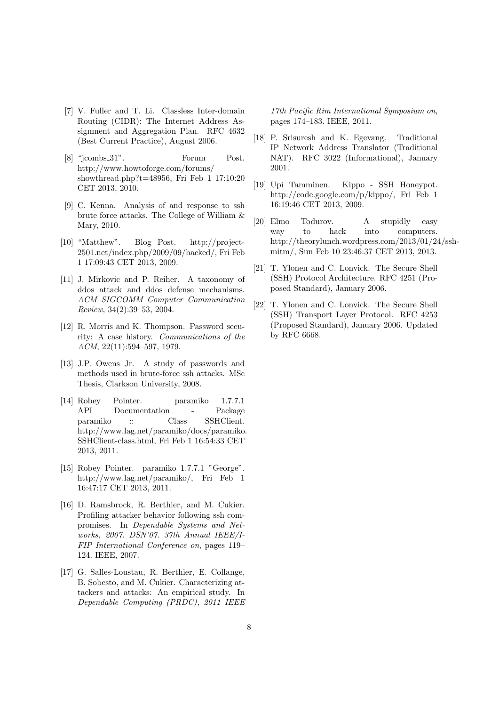- [7] V. Fuller and T. Li. Classless Inter-domain Routing (CIDR): The Internet Address Assignment and Aggregation Plan. RFC 4632 (Best Current Practice), August 2006.
- [8] "jcombs\_31". Forum Post. http://www.howtoforge.com/forums/ showthread.php?t=48956, Fri Feb 1 17:10:20 CET 2013, 2010.
- [9] C. Kenna. Analysis of and response to ssh brute force attacks. The College of William & Mary, 2010.
- [10] "Matthew". Blog Post. http://project-2501.net/index.php/2009/09/hacked/, Fri Feb 1 17:09:43 CET 2013, 2009.
- [11] J. Mirkovic and P. Reiher. A taxonomy of ddos attack and ddos defense mechanisms. ACM SIGCOMM Computer Communication Review, 34(2):39–53, 2004.
- [12] R. Morris and K. Thompson. Password security: A case history. Communications of the ACM, 22(11):594–597, 1979.
- [13] J.P. Owens Jr. A study of passwords and methods used in brute-force ssh attacks. MSc Thesis, Clarkson University, 2008.
- [14] Robey Pointer. paramiko 1.7.7.1 API Documentation - Package paramiko :: Class SSHClient. http://www.lag.net/paramiko/docs/paramiko. SSHClient-class.html, Fri Feb 1 16:54:33 CET 2013, 2011.
- [15] Robey Pointer. paramiko 1.7.7.1 "George". http://www.lag.net/paramiko/, Fri Feb 1 16:47:17 CET 2013, 2011.
- [16] D. Ramsbrock, R. Berthier, and M. Cukier. Profiling attacker behavior following ssh compromises. In Dependable Systems and Networks, 2007. DSN'07. 37th Annual IEEE/I-FIP International Conference on, pages 119– 124. IEEE, 2007.
- [17] G. Salles-Loustau, R. Berthier, E. Collange, B. Sobesto, and M. Cukier. Characterizing attackers and attacks: An empirical study. In Dependable Computing (PRDC), 2011 IEEE

17th Pacific Rim International Symposium on, pages 174–183. IEEE, 2011.

- [18] P. Srisuresh and K. Egevang. Traditional IP Network Address Translator (Traditional NAT). RFC 3022 (Informational), January 2001.
- [19] Upi Tamminen. Kippo SSH Honeypot. http://code.google.com/p/kippo/, Fri Feb 1 16:19:46 CET 2013, 2009.
- [20] Elmo Todurov. A stupidly easy way to hack into computers. http://theorylunch.wordpress.com/2013/01/24/sshmitm/, Sun Feb 10 23:46:37 CET 2013, 2013.
- [21] T. Ylonen and C. Lonvick. The Secure Shell (SSH) Protocol Architecture. RFC 4251 (Proposed Standard), January 2006.
- [22] T. Ylonen and C. Lonvick. The Secure Shell (SSH) Transport Layer Protocol. RFC 4253 (Proposed Standard), January 2006. Updated by RFC 6668.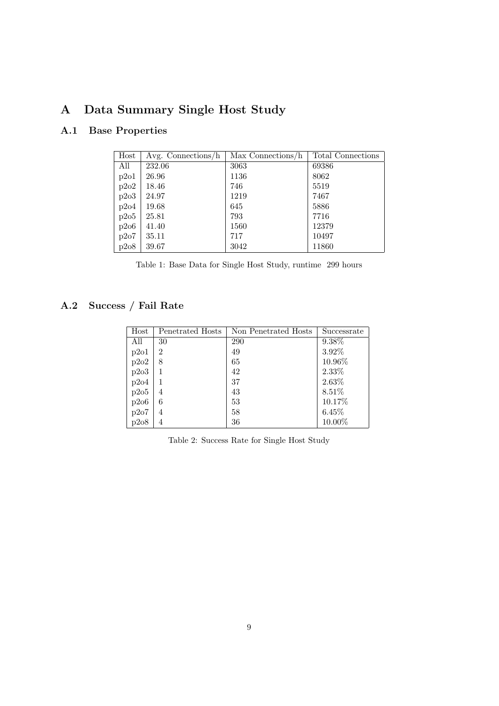# A Data Summary Single Host Study

# A.1 Base Properties

| Host | Avg. Connections/h | Max Connections/h | Total Connections |
|------|--------------------|-------------------|-------------------|
| All  | 232.06             | 3063              | 69386             |
| p2o1 | 26.96              | 1136              | 8062              |
| p2o2 | 18.46              | 746               | 5519              |
| p2o3 | 24.97              | 1219              | 7467              |
| p2o4 | 19.68              | 645               | 5886              |
| p2o5 | 25.81              | 793               | 7716              |
| p2o6 | 41.40              | 1560              | 12379             |
| p2o7 | 35.11              | 717               | 10497             |
| p2o8 | 39.67              | 3042              | 11860             |

| Table 1: Base Data for Single Host Study, runtime 299 hours |  |  |  |  |  |  |  |
|-------------------------------------------------------------|--|--|--|--|--|--|--|
|-------------------------------------------------------------|--|--|--|--|--|--|--|

# A.2 Success / Fail Rate

| Host | Penetrated Hosts | Non Penetrated Hosts | Successrate |
|------|------------------|----------------------|-------------|
| All  | 30               | 290                  | 9.38%       |
| p2o1 | $\overline{2}$   | 49                   | 3.92%       |
| p2o2 | 8                | 65                   | 10.96%      |
| p2o3 | 1                | 42                   | 2.33%       |
| p2o4 |                  | 37                   | 2.63%       |
| p2o5 | 4                | 43                   | 8.51%       |
| p2o6 | 6                | 53                   | 10.17%      |
| p2o7 | 4                | 58                   | 6.45%       |
| p2o8 | 4                | 36                   | 10.00%      |

Table 2: Success Rate for Single Host Study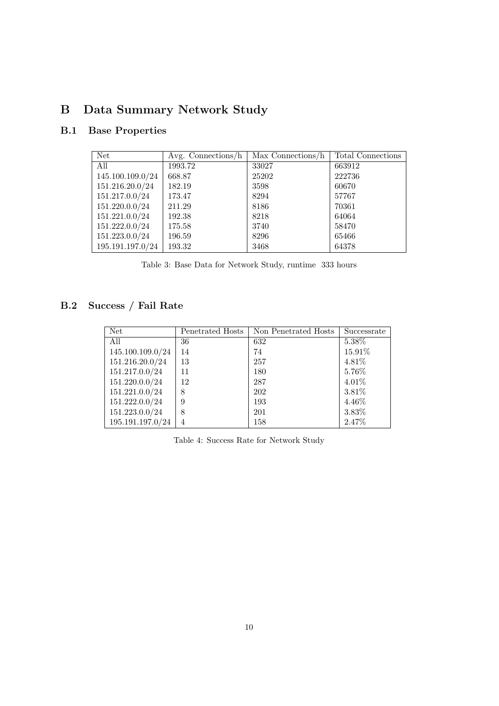# B Data Summary Network Study

# B.1 Base Properties

| <b>Net</b>       | Avg. Connections/ $h$ | Max Connections/h | <b>Total Connections</b> |
|------------------|-----------------------|-------------------|--------------------------|
| All              | 1993.72               | 33027             | 663912                   |
| 145.100.109.0/24 | 668.87                | 25202             | 222736                   |
| 151.216.20.0/24  | 182.19                | 3598              | 60670                    |
| 151.217.0.0/24   | 173.47                | 8294              | 57767                    |
| 151.220.0.0/24   | 211.29                | 8186              | 70361                    |
| 151.221.0.0/24   | 192.38                | 8218              | 64064                    |
| 151.222.0.0/24   | 175.58                | 3740              | 58470                    |
| 151.223.0.0/24   | 196.59                | 8296              | 65466                    |
| 195.191.197.0/24 | 193.32                | 3468              | 64378                    |

|  |  |  |  |  | Table 3: Base Data for Network Study, runtime 333 hours |  |  |  |  |
|--|--|--|--|--|---------------------------------------------------------|--|--|--|--|
|--|--|--|--|--|---------------------------------------------------------|--|--|--|--|

# B.2 Success / Fail Rate

| Net              | Penetrated Hosts | Non Penetrated Hosts | Successrate |
|------------------|------------------|----------------------|-------------|
| All              | 36               | 632                  | 5.38%       |
| 145.100.109.0/24 | 14               | 74                   | 15.91%      |
| 151.216.20.0/24  | 13               | 257                  | 4.81%       |
| 151.217.0.0/24   | 11               | 180                  | 5.76%       |
| 151.220.0.0/24   | 12               | 287                  | 4.01%       |
| 151.221.0.0/24   | 8                | 202                  | 3.81%       |
| 151.222.0.0/24   | 9                | 193                  | 4.46%       |
| 151.223.0.0/24   | 8                | 201                  | 3.83%       |
| 195.191.197.0/24 | 4                | 158                  | 2.47%       |

Table 4: Success Rate for Network Study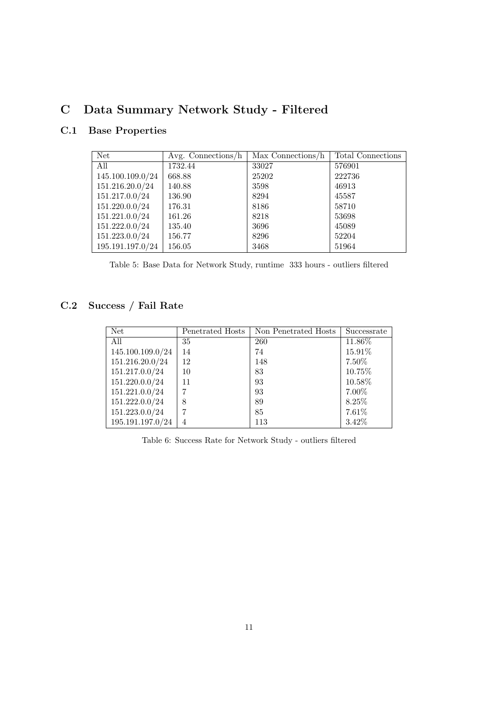# C Data Summary Network Study - Filtered

# C.1 Base Properties

| <b>Net</b>       | Avg. Connections/ $h$ | Max Connections/h | <b>Total Connections</b> |
|------------------|-----------------------|-------------------|--------------------------|
| All              | 1732.44               | 33027             | 576901                   |
| 145.100.109.0/24 | 668.88                | 25202             | 222736                   |
| 151.216.20.0/24  | 140.88                | 3598              | 46913                    |
| 151.217.0.0/24   | 136.90                | 8294              | 45587                    |
| 151.220.0.0/24   | 176.31                | 8186              | 58710                    |
| 151.221.0.0/24   | 161.26                | 8218              | 53698                    |
| 151.222.0.0/24   | 135.40                | 3696              | 45089                    |
| 151.223.0.0/24   | 156.77                | 8296              | 52204                    |
| 195.191.197.0/24 | 156.05                | 3468              | 51964                    |

Table 5: Base Data for Network Study, runtime 333 hours - outliers filtered

# C.2 Success / Fail Rate

| <b>Net</b>       | Penetrated Hosts | Non Penetrated Hosts | Successrate |
|------------------|------------------|----------------------|-------------|
| All              | 35               | <b>260</b>           | 11.86%      |
| 145.100.109.0/24 | 14               | 74                   | 15.91%      |
| 151.216.20.0/24  | 12               | 148                  | 7.50%       |
| 151.217.0.0/24   | 10               | 83                   | 10.75%      |
| 151.220.0.0/24   | 11               | 93                   | 10.58%      |
| 151.221.0.0/24   | 7                | 93                   | 7.00%       |
| 151.222.0.0/24   | 8                | 89                   | 8.25%       |
| 151.223.0.0/24   | 7                | 85                   | 7.61%       |
| 195.191.197.0/24 | $\overline{4}$   | 113                  | 3.42%       |

Table 6: Success Rate for Network Study - outliers filtered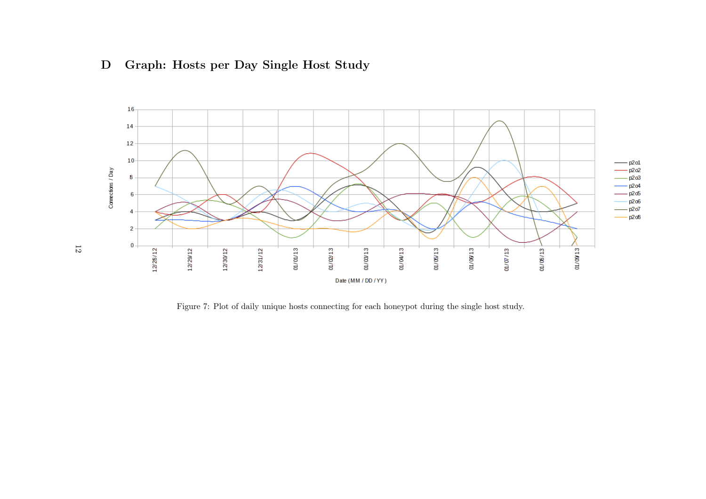



Figure 7: Plot of daily unique hosts connecting for each honeypot during the single host study.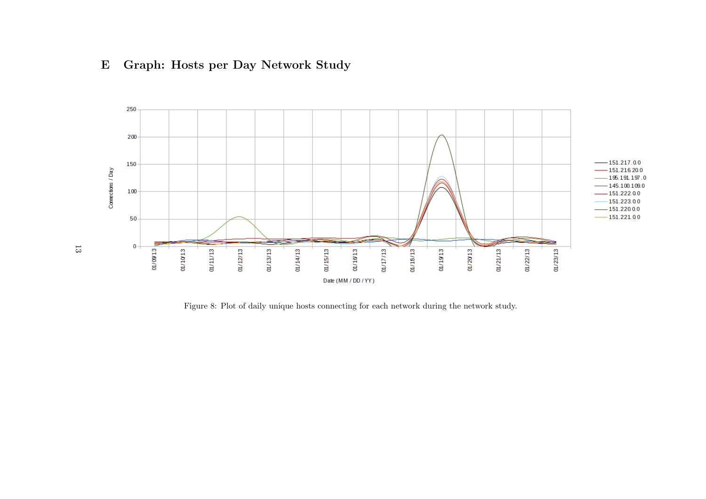# E Graph: Hosts per Day Network Study



Figure 8: Plot of daily unique hosts connecting for each network during the network study.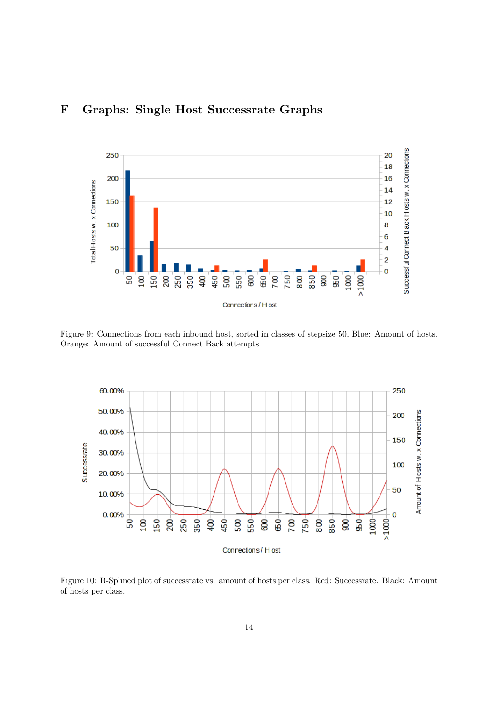# F Graphs: Single Host Successrate Graphs



Figure 9: Connections from each inbound host, sorted in classes of stepsize 50, Blue: Amount of hosts. Orange: Amount of successful Connect Back attempts



Figure 10: B-Splined plot of successrate vs. amount of hosts per class. Red: Successrate. Black: Amount of hosts per class.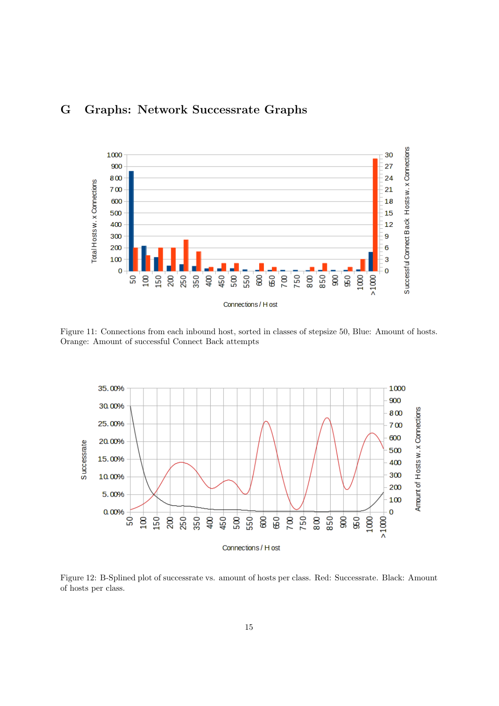



Figure 11: Connections from each inbound host, sorted in classes of stepsize 50, Blue: Amount of hosts. Orange: Amount of successful Connect Back attempts



Figure 12: B-Splined plot of successrate vs. amount of hosts per class. Red: Successrate. Black: Amount of hosts per class.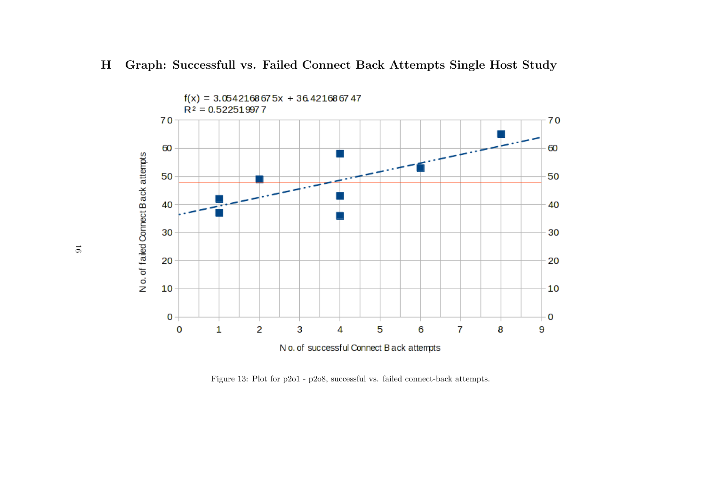



Figure 13: Plot for <sup>p</sup>2o1 - <sup>p</sup>2o8, successful vs. failed connect-back attempts.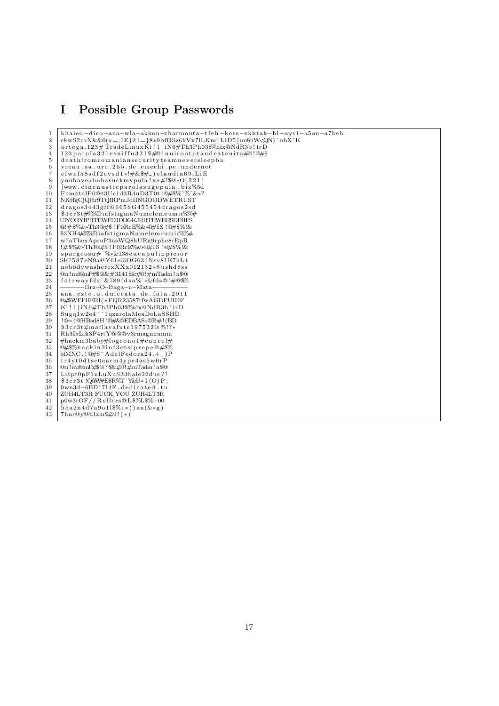# I Possible Group Passwords

| $\mathbf{1}$   | khaled-dico-ana-wla-akhou-charmouta-tfeh-kess-ekhtak-bi-ayri-a5ou-a7beh                                                                                                                                                                                                                                                                                                                                                                                                                                                                                                                                                                                                                                                                                                                                                                                                                                                                                                                                                                                                                                                                                                                                                                                                                                                                                                                                                                                                          |
|----------------|----------------------------------------------------------------------------------------------------------------------------------------------------------------------------------------------------------------------------------------------------------------------------------------------------------------------------------------------------------------------------------------------------------------------------------------------------------------------------------------------------------------------------------------------------------------------------------------------------------------------------------------------------------------------------------------------------------------------------------------------------------------------------------------------------------------------------------------------------------------------------------------------------------------------------------------------------------------------------------------------------------------------------------------------------------------------------------------------------------------------------------------------------------------------------------------------------------------------------------------------------------------------------------------------------------------------------------------------------------------------------------------------------------------------------------------------------------------------------------|
| $\overline{2}$ | $ckwS2nrN\&&0(x=;1E)21=8*9bfGSz6kVx7lLKm!LID5 nubnWQN)^nnbX'K$                                                                                                                                                                                                                                                                                                                                                                                                                                                                                                                                                                                                                                                                                                                                                                                                                                                                                                                                                                                                                                                                                                                                                                                                                                                                                                                                                                                                                   |
| 3              | $ortega.123# TradeLinuxKi!1 iNG#Th3Ph03%nix@NdR3b!irD$                                                                                                                                                                                                                                                                                                                                                                                                                                                                                                                                                                                                                                                                                                                                                                                                                                                                                                                                                                                                                                                                                                                                                                                                                                                                                                                                                                                                                           |
| 4              | 123 parola 321 esniffu 321 \$#@! nuirootutaudeateuita#@!@#\$                                                                                                                                                                                                                                                                                                                                                                                                                                                                                                                                                                                                                                                                                                                                                                                                                                                                                                                                                                                                                                                                                                                                                                                                                                                                                                                                                                                                                     |
| 5              | deathfromromaniansecurityteamneversleepba                                                                                                                                                                                                                                                                                                                                                                                                                                                                                                                                                                                                                                                                                                                                                                                                                                                                                                                                                                                                                                                                                                                                                                                                                                                                                                                                                                                                                                        |
| 6              | vreau.sa.urc.255.de.emechi.pe.undernet                                                                                                                                                                                                                                                                                                                                                                                                                                                                                                                                                                                                                                                                                                                                                                                                                                                                                                                                                                                                                                                                                                                                                                                                                                                                                                                                                                                                                                           |
| 7              | $efwef58sdf2cvsd1*!#&$ #.)claudia69iLiE                                                                                                                                                                                                                                                                                                                                                                                                                                                                                                                                                                                                                                                                                                                                                                                                                                                                                                                                                                                                                                                                                                                                                                                                                                                                                                                                                                                                                                          |
| 8              | youhaveabubasuckmypula!x*#!\$@*O(221!                                                                                                                                                                                                                                                                                                                                                                                                                                                                                                                                                                                                                                                                                                                                                                                                                                                                                                                                                                                                                                                                                                                                                                                                                                                                                                                                                                                                                                            |
| 9              | [www.cinenustieparolasugepula.biz\5d                                                                                                                                                                                                                                                                                                                                                                                                                                                                                                                                                                                                                                                                                                                                                                                                                                                                                                                                                                                                                                                                                                                                                                                                                                                                                                                                                                                                                                             |
| 10             | Fum4tulP0@t3Uc1d3R4uD3T0t!@#\$%^%^&*?                                                                                                                                                                                                                                                                                                                                                                                                                                                                                                                                                                                                                                                                                                                                                                                                                                                                                                                                                                                                                                                                                                                                                                                                                                                                                                                                                                                                                                            |
| 11             | NKtfgCjQRr9TtjfRPmJdIINGOODWETRUST                                                                                                                                                                                                                                                                                                                                                                                                                                                                                                                                                                                                                                                                                                                                                                                                                                                                                                                                                                                                                                                                                                                                                                                                                                                                                                                                                                                                                                               |
| 12             | $dragos3443gff@665\$G455454dragos2sd$                                                                                                                                                                                                                                                                                                                                                                                                                                                                                                                                                                                                                                                                                                                                                                                                                                                                                                                                                                                                                                                                                                                                                                                                                                                                                                                                                                                                                                            |
| 13             | \$3cr3t#%%DiafstigmaNumelemeumic%%#                                                                                                                                                                                                                                                                                                                                                                                                                                                                                                                                                                                                                                                                                                                                                                                                                                                                                                                                                                                                                                                                                                                                                                                                                                                                                                                                                                                                                                              |
| 14             | UIYORYIPRTEWFDJDHGKJRRTEWEGSDFHFS                                                                                                                                                                                                                                                                                                                                                                                                                                                                                                                                                                                                                                                                                                                                                                                                                                                                                                                                                                                                                                                                                                                                                                                                                                                                                                                                                                                                                                                |
| 15             | @!#\$%&*Th3@#\$!F0RcE%&*@#IS!@#\$%!&                                                                                                                                                                                                                                                                                                                                                                                                                                                                                                                                                                                                                                                                                                                                                                                                                                                                                                                                                                                                                                                                                                                                                                                                                                                                                                                                                                                                                                             |
| 16             | \$3NH4#%%DiafstigmaNumelemeumic%%#                                                                                                                                                                                                                                                                                                                                                                                                                                                                                                                                                                                                                                                                                                                                                                                                                                                                                                                                                                                                                                                                                                                                                                                                                                                                                                                                                                                                                                               |
| 17             | w7aThexApruP3asWQ8kURa9rphe8rEpR                                                                                                                                                                                                                                                                                                                                                                                                                                                                                                                                                                                                                                                                                                                                                                                                                                                                                                                                                                                                                                                                                                                                                                                                                                                                                                                                                                                                                                                 |
| 18             | !#\$%&*Th3@#\$!F0RcE%&*@#IS!@#\$%!&                                                                                                                                                                                                                                                                                                                                                                                                                                                                                                                                                                                                                                                                                                                                                                                                                                                                                                                                                                                                                                                                                                                                                                                                                                                                                                                                                                                                                                              |
| 19             | $sprgeosu#^{\sim}\&138cucapulinpicior$                                                                                                                                                                                                                                                                                                                                                                                                                                                                                                                                                                                                                                                                                                                                                                                                                                                                                                                                                                                                                                                                                                                                                                                                                                                                                                                                                                                                                                           |
| 20             | SK!587eN9a@Y61e3iOG63!Nsv81E7hL4                                                                                                                                                                                                                                                                                                                                                                                                                                                                                                                                                                                                                                                                                                                                                                                                                                                                                                                                                                                                                                                                                                                                                                                                                                                                                                                                                                                                                                                 |
| 21             | nobodywasherexXXx012132*8ushd8ss                                                                                                                                                                                                                                                                                                                                                                                                                                                                                                                                                                                                                                                                                                                                                                                                                                                                                                                                                                                                                                                                                                                                                                                                                                                                                                                                                                                                                                                 |
| 22             | @n!md@mP#\$@౅\$&#@!#mTadm!n\$@</td></tr><tr><td>23</td><td><math>f41rwayfds</math><sup>2</sup><math>89fdsa%</math><sup>*</sup><math>kfds@!#@</math>%</td></tr><tr><td>24</td><td><math>-Brz-O-Baga-n-Mata</math></td></tr><tr><td>25</td><td>ana.este.o.dulceata.de.fata.2011</td></tr><tr><td>26</td><td>@#\$WEFHERI(*FQR23587tfwAGBFUIDF</td></tr><tr><td>27</td><td>Ki!l iN6#Th3Ph03\$%nix@NdR3b!irD</td></tr><tr><td>28</td><td><math>Sugq1w2e4^{\n\hat{i}}1qzarolaMeaDeLaSSHD</math></td></tr><tr><td>29</td><td>!@*(@HBsd8H!@#&@EDBAS*@B#!(BD</td></tr><tr><td>30</td><td>\$3cr3t#mafiavafute197532@%!?*</td></tr><tr><td>31</td><td>Rh3I5Lik3P4rtY@@@v3rmagnnumm</td></tr><tr><td>32</td><td>#hackm3baby#logrono1#cancel#</td></tr><tr><td>33</td><td>@#\$%hackin2inf3ctsiprepe@#\$%</td></tr><tr><td>34</td><td>biMNC.!<math>@#</math>\$^AdelFedora24.+_}P</td></tr><tr><td>35</td><td>tr4yt0d1sc0aarm4ype4as5w0rP</td></tr><tr><td>36</td><td>@n!md@mP#\$@?\$&#@!#mTadm!n\$@</td></tr><tr><td>37</td><td>L@pt0pF1nLuXuS33baie22dus?!</td></tr><tr><td>38</td><td>\$3cr3t!Q@W#E\$R%T^Y&U*I(O)P_</td></tr><tr><td>39</td><td>0wn3d-6BD1714F.dedicated.tu</td></tr><tr><td>40</td><td>ZUH4LT3R_FUCK_YOU_ZUH4LT3R</td></tr><tr><td>41</td><td><math>p0w3rOF</math> //Rullers@L\$%L\$%-00</td></tr><tr><td>42</td><td><math>h5a2n4d7a9o11\</math>//<math>(i*()an(k*g))</math></td></tr><tr><td>43</td><td><math>7\text{hur@v@t3am\#@!}</math> (* (</td></tr></tbody></table> |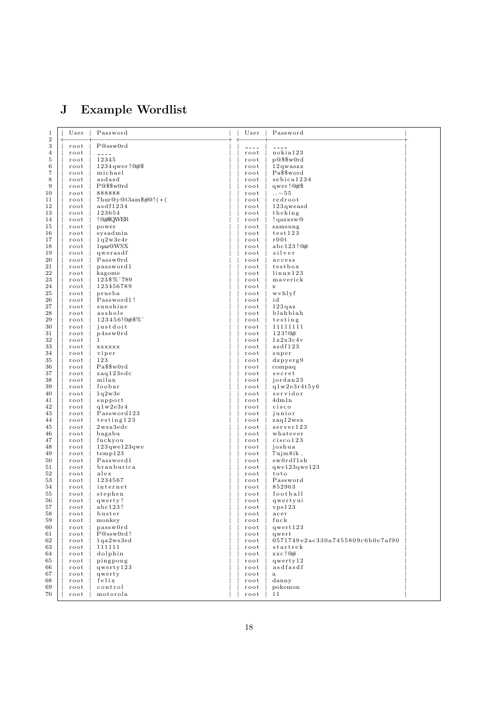# J Example Wordlist

| 1<br>$\overline{2}$ | User         | Password                                                                                                                                                                                                                                                                                                                                                                                     | User                                                                                                                                                                                                                                                                                                                                                                                         | Password                         |  |
|---------------------|--------------|----------------------------------------------------------------------------------------------------------------------------------------------------------------------------------------------------------------------------------------------------------------------------------------------------------------------------------------------------------------------------------------------|----------------------------------------------------------------------------------------------------------------------------------------------------------------------------------------------------------------------------------------------------------------------------------------------------------------------------------------------------------------------------------------------|----------------------------------|--|
| 3                   | root         | P@ssw0rd                                                                                                                                                                                                                                                                                                                                                                                     | $\frac{1}{2} \frac{1}{2} \frac{1}{2} \frac{1}{2} \frac{1}{2} \frac{1}{2} \frac{1}{2} \frac{1}{2} \frac{1}{2} \frac{1}{2} \frac{1}{2} \frac{1}{2} \frac{1}{2} \frac{1}{2} \frac{1}{2} \frac{1}{2} \frac{1}{2} \frac{1}{2} \frac{1}{2} \frac{1}{2} \frac{1}{2} \frac{1}{2} \frac{1}{2} \frac{1}{2} \frac{1}{2} \frac{1}{2} \frac{1}{2} \frac{1}{2} \frac{1}{2} \frac{1}{2} \frac{1}{2} \frac{$ | $- - - -$                        |  |
| 4                   | root         | $\frac{1}{2} \frac{1}{2} \frac{1}{2} \frac{1}{2} \frac{1}{2} \frac{1}{2} \frac{1}{2} \frac{1}{2} \frac{1}{2} \frac{1}{2} \frac{1}{2} \frac{1}{2} \frac{1}{2} \frac{1}{2} \frac{1}{2} \frac{1}{2} \frac{1}{2} \frac{1}{2} \frac{1}{2} \frac{1}{2} \frac{1}{2} \frac{1}{2} \frac{1}{2} \frac{1}{2} \frac{1}{2} \frac{1}{2} \frac{1}{2} \frac{1}{2} \frac{1}{2} \frac{1}{2} \frac{1}{2} \frac{$ | root                                                                                                                                                                                                                                                                                                                                                                                         | nokia123                         |  |
| 5                   | root         | 12345                                                                                                                                                                                                                                                                                                                                                                                        | root                                                                                                                                                                                                                                                                                                                                                                                         | p@\$\$w0rd                       |  |
| 6                   | root         | $1234$ qwer! $@#$ \$                                                                                                                                                                                                                                                                                                                                                                         | root                                                                                                                                                                                                                                                                                                                                                                                         | $12$ qwaszx                      |  |
| 7                   | root         | michael                                                                                                                                                                                                                                                                                                                                                                                      | root                                                                                                                                                                                                                                                                                                                                                                                         | Pa\$\$word                       |  |
| 8                   | root         | asdasd                                                                                                                                                                                                                                                                                                                                                                                       | root                                                                                                                                                                                                                                                                                                                                                                                         | sebica1234                       |  |
| 9                   | root         | P@\$\$w0rd                                                                                                                                                                                                                                                                                                                                                                                   | root                                                                                                                                                                                                                                                                                                                                                                                         | qwer! $@#$ \$                    |  |
| 10                  | root         | 888888                                                                                                                                                                                                                                                                                                                                                                                       | root                                                                                                                                                                                                                                                                                                                                                                                         | $\dots -55$                      |  |
| 11                  | root         | 7hur@y@t3am\$#@!(*(                                                                                                                                                                                                                                                                                                                                                                          | root                                                                                                                                                                                                                                                                                                                                                                                         | redroot                          |  |
| 12                  | root         | asdf1234                                                                                                                                                                                                                                                                                                                                                                                     | root                                                                                                                                                                                                                                                                                                                                                                                         | $123$ qweasd                     |  |
| 13                  | root         | 123654                                                                                                                                                                                                                                                                                                                                                                                       | root                                                                                                                                                                                                                                                                                                                                                                                         | theking                          |  |
| 14                  | root         | !@#\$QWER                                                                                                                                                                                                                                                                                                                                                                                    | root                                                                                                                                                                                                                                                                                                                                                                                         | ! qazxsw@                        |  |
| 15                  | root         | power                                                                                                                                                                                                                                                                                                                                                                                        | root                                                                                                                                                                                                                                                                                                                                                                                         | samsung<br>test123               |  |
| 16                  | root         | sysadmin<br>1q2w3e4r                                                                                                                                                                                                                                                                                                                                                                         | root<br>root                                                                                                                                                                                                                                                                                                                                                                                 | r00t                             |  |
| 17<br>18            | root         | 1qaz@WSX                                                                                                                                                                                                                                                                                                                                                                                     | root                                                                                                                                                                                                                                                                                                                                                                                         | abc123!@#                        |  |
| 19                  | root<br>root | qwerasdf                                                                                                                                                                                                                                                                                                                                                                                     | root                                                                                                                                                                                                                                                                                                                                                                                         | silver                           |  |
| 20                  | root         | Passw0rd                                                                                                                                                                                                                                                                                                                                                                                     | root                                                                                                                                                                                                                                                                                                                                                                                         | access                           |  |
| 21                  | root         | password1                                                                                                                                                                                                                                                                                                                                                                                    | root                                                                                                                                                                                                                                                                                                                                                                                         | testbox                          |  |
| 22                  | root         | kagome                                                                                                                                                                                                                                                                                                                                                                                       | root                                                                                                                                                                                                                                                                                                                                                                                         | $\lim_{x \to 1} 23$              |  |
| 23                  | root         | 123\$%^789                                                                                                                                                                                                                                                                                                                                                                                   | root                                                                                                                                                                                                                                                                                                                                                                                         | maverick                         |  |
| 24                  | root         | 123456789                                                                                                                                                                                                                                                                                                                                                                                    | root                                                                                                                                                                                                                                                                                                                                                                                         | $\mathbf x$                      |  |
| 25                  | root         | prueba                                                                                                                                                                                                                                                                                                                                                                                       | root                                                                                                                                                                                                                                                                                                                                                                                         | wyhlyf                           |  |
| 26                  | root         | Password1!                                                                                                                                                                                                                                                                                                                                                                                   | root                                                                                                                                                                                                                                                                                                                                                                                         | id                               |  |
| 27                  | root         | sunshine                                                                                                                                                                                                                                                                                                                                                                                     | root                                                                                                                                                                                                                                                                                                                                                                                         | 123qaz                           |  |
| 28                  | root         | asshole                                                                                                                                                                                                                                                                                                                                                                                      | root                                                                                                                                                                                                                                                                                                                                                                                         | blahblah                         |  |
| 29                  | root         | 123456!@#\$%^                                                                                                                                                                                                                                                                                                                                                                                | root                                                                                                                                                                                                                                                                                                                                                                                         | testing                          |  |
| 30                  | root         | justdoit                                                                                                                                                                                                                                                                                                                                                                                     | root                                                                                                                                                                                                                                                                                                                                                                                         | 11111111                         |  |
| 31                  | root         | p4ssw0rd                                                                                                                                                                                                                                                                                                                                                                                     | root                                                                                                                                                                                                                                                                                                                                                                                         | 123!@#                           |  |
| 32                  | root         | $\mathbf{1}$                                                                                                                                                                                                                                                                                                                                                                                 | root                                                                                                                                                                                                                                                                                                                                                                                         | 1z2x3c4v                         |  |
| 33                  | root         | <b>XXXXXX</b>                                                                                                                                                                                                                                                                                                                                                                                | root                                                                                                                                                                                                                                                                                                                                                                                         | asdf123                          |  |
| 34                  | root         | viper                                                                                                                                                                                                                                                                                                                                                                                        | root                                                                                                                                                                                                                                                                                                                                                                                         | super                            |  |
| 35                  | root         | 123                                                                                                                                                                                                                                                                                                                                                                                          | root                                                                                                                                                                                                                                                                                                                                                                                         | dzpyerg9                         |  |
| 36                  | root         | Pa\$\$w0rd                                                                                                                                                                                                                                                                                                                                                                                   | root                                                                                                                                                                                                                                                                                                                                                                                         | compaq                           |  |
| 37                  | root         | zaq123edc                                                                                                                                                                                                                                                                                                                                                                                    | root                                                                                                                                                                                                                                                                                                                                                                                         | secret                           |  |
| 38                  | root         | milan                                                                                                                                                                                                                                                                                                                                                                                        | root                                                                                                                                                                                                                                                                                                                                                                                         | jordan23                         |  |
| 39                  | root         | foobar                                                                                                                                                                                                                                                                                                                                                                                       | root                                                                                                                                                                                                                                                                                                                                                                                         | q1w2e3r4t5y6                     |  |
| 40                  | root         | 1q2w3e                                                                                                                                                                                                                                                                                                                                                                                       | root                                                                                                                                                                                                                                                                                                                                                                                         | servidor                         |  |
| 41                  | root         | support                                                                                                                                                                                                                                                                                                                                                                                      | root                                                                                                                                                                                                                                                                                                                                                                                         | 4dm1n                            |  |
| 42                  | root         | q1w2e3r4                                                                                                                                                                                                                                                                                                                                                                                     | root                                                                                                                                                                                                                                                                                                                                                                                         | $c$ is $c$ o                     |  |
| 43                  | root         | Password123                                                                                                                                                                                                                                                                                                                                                                                  | root                                                                                                                                                                                                                                                                                                                                                                                         | junior                           |  |
| 44                  | root         | testing123                                                                                                                                                                                                                                                                                                                                                                                   | root                                                                                                                                                                                                                                                                                                                                                                                         | zaq12wsx                         |  |
| 45                  | root         | $2$ wsx $3$ edc                                                                                                                                                                                                                                                                                                                                                                              | root                                                                                                                                                                                                                                                                                                                                                                                         | server123                        |  |
| 46                  | root         | bagabu                                                                                                                                                                                                                                                                                                                                                                                       | root                                                                                                                                                                                                                                                                                                                                                                                         | whatever                         |  |
| 47                  | root         | fuckyou                                                                                                                                                                                                                                                                                                                                                                                      | root                                                                                                                                                                                                                                                                                                                                                                                         | cisco123                         |  |
| 48<br>49            | root<br>root | $123$ qwe $123$ qwe<br>temp123                                                                                                                                                                                                                                                                                                                                                               | root<br>root                                                                                                                                                                                                                                                                                                                                                                                 | joshua<br>$7$ ujm $8$ ik,        |  |
| 50                  | root         | Password1                                                                                                                                                                                                                                                                                                                                                                                    | root                                                                                                                                                                                                                                                                                                                                                                                         | sw0rdf1sh                        |  |
| 51                  | root         | branburica                                                                                                                                                                                                                                                                                                                                                                                   | root                                                                                                                                                                                                                                                                                                                                                                                         | qwel23qwel23                     |  |
| 52                  | root         | alex                                                                                                                                                                                                                                                                                                                                                                                         | root                                                                                                                                                                                                                                                                                                                                                                                         | toto                             |  |
| 53                  | root         | 1234567                                                                                                                                                                                                                                                                                                                                                                                      | root                                                                                                                                                                                                                                                                                                                                                                                         | Password                         |  |
| 54                  | root         | internet                                                                                                                                                                                                                                                                                                                                                                                     | root                                                                                                                                                                                                                                                                                                                                                                                         | 852963                           |  |
| 55                  | root         | stephen                                                                                                                                                                                                                                                                                                                                                                                      | root                                                                                                                                                                                                                                                                                                                                                                                         | football                         |  |
| 56                  | root         | qwerty!                                                                                                                                                                                                                                                                                                                                                                                      | root                                                                                                                                                                                                                                                                                                                                                                                         | qwertyui                         |  |
| 57                  | root         | abc123!                                                                                                                                                                                                                                                                                                                                                                                      | root                                                                                                                                                                                                                                                                                                                                                                                         | vps123                           |  |
| 58                  | root         | buster                                                                                                                                                                                                                                                                                                                                                                                       | root                                                                                                                                                                                                                                                                                                                                                                                         | acer                             |  |
| 59                  | root         | monkey                                                                                                                                                                                                                                                                                                                                                                                       | root                                                                                                                                                                                                                                                                                                                                                                                         | fuck                             |  |
| 60                  | root         | passw0rd                                                                                                                                                                                                                                                                                                                                                                                     | root                                                                                                                                                                                                                                                                                                                                                                                         | qwert123                         |  |
| 61                  | root         | P@ssw0rd!                                                                                                                                                                                                                                                                                                                                                                                    | root                                                                                                                                                                                                                                                                                                                                                                                         | qwert                            |  |
| 62                  | root         | 1qa2ws3ed                                                                                                                                                                                                                                                                                                                                                                                    | root                                                                                                                                                                                                                                                                                                                                                                                         | 0571749e2ac330a7455809c6b0e7af90 |  |
| 63                  | root         | 111111                                                                                                                                                                                                                                                                                                                                                                                       | root                                                                                                                                                                                                                                                                                                                                                                                         | startrek                         |  |
| 64                  | root         | dolphin                                                                                                                                                                                                                                                                                                                                                                                      | root                                                                                                                                                                                                                                                                                                                                                                                         | $z \times c$ ! $@#$              |  |
| 65                  | root         | pingpong                                                                                                                                                                                                                                                                                                                                                                                     | root                                                                                                                                                                                                                                                                                                                                                                                         | qwerty12                         |  |
| 66                  | root         | qwerty123                                                                                                                                                                                                                                                                                                                                                                                    | root                                                                                                                                                                                                                                                                                                                                                                                         | asdfasdf                         |  |
| 67                  | root         | qwerty                                                                                                                                                                                                                                                                                                                                                                                       | root                                                                                                                                                                                                                                                                                                                                                                                         | $\mathbf{a}$                     |  |
| 68                  | root         | felix                                                                                                                                                                                                                                                                                                                                                                                        | root                                                                                                                                                                                                                                                                                                                                                                                         | danny                            |  |
| 69                  | root         | control                                                                                                                                                                                                                                                                                                                                                                                      | root                                                                                                                                                                                                                                                                                                                                                                                         | pokemon                          |  |
| 70                  | root         | motorola                                                                                                                                                                                                                                                                                                                                                                                     | root                                                                                                                                                                                                                                                                                                                                                                                         | 11                               |  |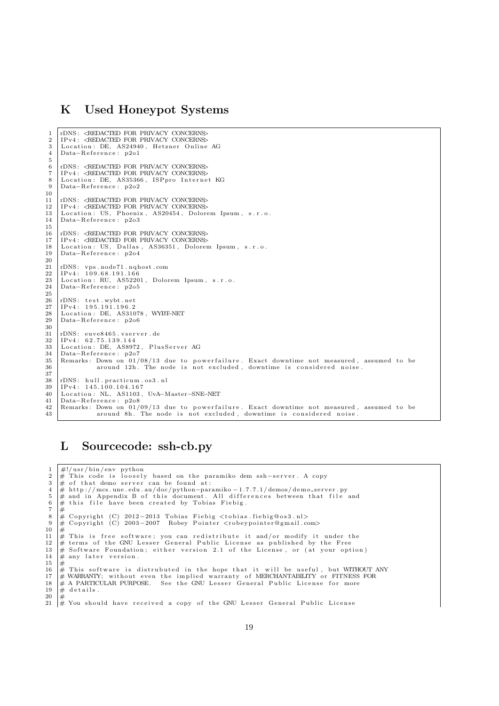## K Used Honeypot Systems

```
1 \vert rDNS: <REDACTED FOR PRIVACY CONCERNS><br>2 \vert IPy4 · <REDACTED FOR PRIVACY CONCERNS>
 2 | IPv4: <REDACTED FOR PRIVACY CONCERNS<br>3 | Location: DE. AS24940. Hetzner Online
 \begin{array}{c|cc}\n3 & \text{Location: DE, AS24940, Hetzner Online AG} \\
4 & \text{Data-Reference: } p201\n\end{array}Data-Reference: p2o1
 5
 6 rDNS : <REDACTED FOR PRIVACY CONCERNS>
7 IPv4 : <REDACTED FOR PRIVACY CONCERNS>
 \begin{array}{c|cc}\n8 & \text{Location: DE, AS35366, ISP} \n9 & \text{Data-Reference: } p202\n\end{array}Data-Reference: p2o2
\frac{10}{11}11 rDNS: <REDACTED FOR PRIVACY CONCERNS> 12 IPv4: <REDACTED FOR PRIVACY CONCERNS
12 IPv4: «REDACTED FOR PRIVACY CONCERNS»<br>13 Location: US, Phoenix, AS20454, Dolore
      Location: US, Phoenix, AS20454, Dolorem Ipsum, s.r.o.
14 Data-Reference: p2o3
\frac{15}{16}16 rDNS: <REDACTED FOR PRIVACY CONCERNS<br>17 IPv4: <REDACTED FOR PRIVACY CONCERNS>
17 IPv4: <REDACTED FOR PRIVACY CONCERNS<br>18 Location: US. Dallas. AS36351. Dolorer
18 Location: US, Dallas, AS36351, Dolorem Ipsum, s.r.o.<br>19 Data-Beference: p204Data-Reference: p2o4
20
21 rDNS : vps . node71 . nqhost . com
22 IPv4 : 1 0 9 . 6 8 . 1 9 1 . 1 6 6
23 Location: RU, AS52201, Dolorem Ipsum, s.r.o.<br>24 Data-Reference: p2o5
      Data-Reference: p2o5
\frac{25}{26}26 | rDNS: test.wybt.net<br>27 | IPv4: 195.191.196.2<br>28 | Location: DE, AS31078, WYBT–NET
29 Data-Reference: p2o6
\frac{30}{31}rDNS: euve8465. v s er v er . de
32 | IPv4: 62.75.139.144
33 Location: DE, AS8972, PlusServer AG
34 | Data−Reference: p2o7<br>35 | Remarks: Down on 01/08/13 due to powerfailure. Exact downtime not measured, assumed to be
36 around 12h. The node is not excluded, downtime is considered noise.
\frac{37}{38}rDNS: hull.practicum.os3.nl
39 IPv4 : 1 4 5 . 1 0 0 . 1 0 4 . 1 6 7
40 Location: NL, AS1103, UvA–Master–SNE–NET<br>41 Data–Beference: p2o8
41 Data−Reference: p2o8<br>42 Remarks: Down on 01/
      \frac{1}{2} Remarks: Down on 01/09/13 due to powerfailure. Exact downtime not measured, assumed to be
43 around 8h. The node is not excluded, downtime is considered noise.
```
# L Sourcecode: ssh-cb.py

```
1 \mid #!/usr/bin/env python
 2 \#\ This code is loosely based on the paramiko dem ssh-server. A copy 3 \# of that demo server can be found at:
 \frac{3}{4} \neq of that demo server can be found at:<br>
\frac{4}{4} http://mcs.une.edu.au/doc/python-para
 4 # http://mcs.une.edu.au/doc/python-paramiko-1.7.7.1/demos/demo_server.py<br>5 # and in Appendix B of this document. All differences between that file
 5 \# and in Appendix B of this document. All differences between that file and 6 \# this file have been created by Tobias Fiebig.
 6 \# this file have been created by Tobias Fiebig 7 \#<br>8 \# Copyright (C) 2012-2013 Tobias Fiebig <tobias
      #8 |# Copyright (C) 2012−2013 Tobias Fiebig <tobias fiebig@os3.nl><br>9 |# Copyright (C) 2003−2007 Robey Pointer <robeypointer@gmail.com>
\begin{array}{c} 10 \\ 11 \end{array}\frac{\pi}{4} This is free software; you can redistribute it and/or modify it under the
12 # terms of the GNU Lesser General Public License as published by the Free<br>13 # Software Foundation; either version 2.1 of the License, or (at your option)
14 \neq any later version.
\begin{array}{c|c}\n15 & \# \\
16 & \# \n\end{array}16 \# This software is distrubuted in the hope that it will be useful, but WITHOUT ANY<br>17 \# WARRANIY: without even the implied warranty of MERCHANTABILITY or FITNESS FOR
17 # WARRANIY; without even the implied warranty of MERCHANTABILITY or FITNESS FOR 18 # A PARTICULAR PURPOSE. See the GNU Lesser General Public License for more
18 \frac{1}{\#} A PARTICULAR PURPOSE. See the GNU Lesser General Public License for more
      # details.
20 |#<br>21 |# You should have received a copy of the GNU Lesser General Public License
```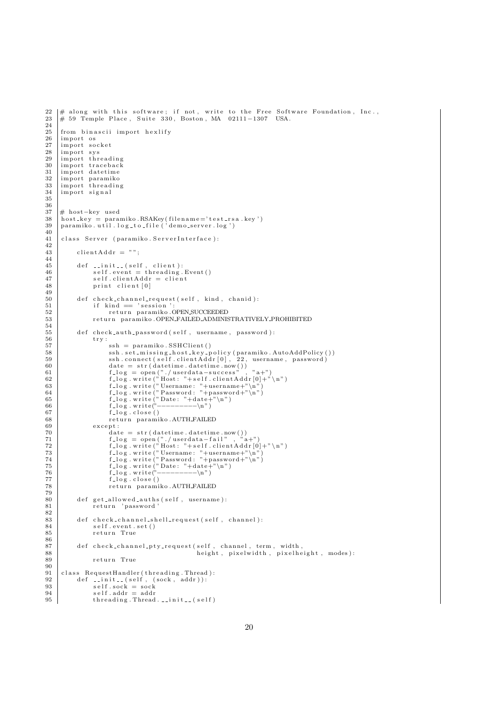```
22 |# along with this software; if not, write to the Free Software Foundation, Inc.,<br>23 |# 59 Temple Place, Suite 330, Boston, MA 02111−1307 USA.
\frac{24}{25}\begin{array}{c|c} 25 \ 26 \ 26 \ 27 \end{array} import os
26 |import os<br>27 |import socket
\begin{array}{c|c}\n 28 & \text{import sys} \\
 29 & \text{import thr}\n \end{array}\begin{array}{c|c} 29 \text{ import threading} \\ 30 \text{ import tradeback} \end{array}\begin{array}{c|c}\n30 & \text{import traceback} \\
31 & \text{import datetime}\n\end{array}\begin{array}{c|c} 31 \ \hline 32 \ \hline \text{import datetime} \end{array}\begin{array}{c|c}\n 32 \quad \text{import paramiko} \\
 33 \quad \text{import threadin}\n \end{array}\begin{array}{c|c}\n 33 \quad \text{import} \quad \text{threading} \\
 34 \quad \text{import} \quad \text{signal}\n \end{array}import signal
35
\frac{36}{37}37 |# host−key used<br>38 | host_key = paramiko.RSAKey(filename='test_rsa.key')<br>39 | paramiko.util.log_to_file('demo_server.log')
40
41 class Server (paramiko ServerInterface):
\frac{42}{43}clientAddr = " " " ;\frac{44}{45}45 def __init__(self, client):<br>46 self.event = threading.Event()
47 self.clientAddr = client
48 print client [0]
\frac{49}{50}50 def check_channel_request(self, kind, chanid):<br>51 if kind = 'session':
\begin{array}{c|c}\n51 & \text{if kind} = 's \text{e} \sin \theta \\
52 & \text{return } \text{paramiko}\n\end{array}52 return paramiko .OPEN.SUCCEEDED<br>53 return paramiko .OPEN FAILED ADMINIS
                          return paramiko .OPEN_FAILED_ADMINISTRATIVELY_PROHIBITED
\frac{54}{55}55 def check_auth_password(self, username, password):<br>56\begin{array}{c|c}\n56 & \text{try :} \\
57 & \text{My :} \\
\end{array}57 ssh = paramiko . SSHClient ()<br>58 ssh . set_missing_host_key_p
58 s s h . s e t m i s s i n g h o s t k e y p o l i c y ( param iko . AutoAddPo l icy ( ) )
59 s s h . c onn e c t ( s e l f . c l i e n t A d d r [ 0 ] , 2 2 , username , password )
60 date = str ( datetime . datetime . now ( ) )<br>61 f. log = open (", / userdata - success")
61 f.log = open("./userdata-success", "a+")<br>62 f.log.write("Host: "+self.clientAddr[0]+"\n")
63 f log . write ("Username : "+username+"\n")<br>64 f log . write ("Password : "+password+"\n")<br>65 f log . write ("Date : "+date+"\n")<br>f log . write ("−−−−−−−−−\n")
67 f\_log.close()<br>68 return paramiko.AUTH_FAILED
\begin{array}{c|c} 69 & \text{except:} \\ 70 & \text{date:} \end{array}\begin{array}{c|c} 69 \overline{0} & \text{except } \cdot \cdot \\ 70 & \text{date} = \text{str (datetime.datetime.now())} \\ 71 & \text{f_log} = \text{open}(". / \text{userdata-fail" }, "a+") \end{array}71 f.\log = \text{open}(\text{".}/\text{userdata-fail",\text{"}}\text{a}+\text{"}}\text{f}.\log.\text{write}(\text{".}/\text{Host: "+self.clienAddr}[0]+\text{".}/\text{n")}\n f.\log.\text{write}(\text{".}/\text{Desername: "+username+"\text{/n"}})\n f.\log.\text{write}(\text{".}/\text{Password: "+password+"\text{/n"}})\n f.\log.\text{write}(\text{".}/\text{Date: "+data+"\text{/n"}})\n f.\log.\text{write}(\text{".}/\text{Date: "+data+"\text{/n"}})77 f log close ()
                                  return paramiko .AUTH_FAILED
79
80 def get_allowed_auths(self, username):<br>81 return 'password '
\frac{82}{83}\begin{array}{c|c} 83 & \text{def check-channel-shell-request} (self, channel): \\ 84 & \text{self event set}() \end{array}s e l f . e v en t . s e t ( )
85 return True
\begin{array}{c} 86 \\ 87 \end{array}87 def check_channel_pty_request(self, channel, term, width, 88
88 height, pixelwidth, pixelheight, modes):
                         return True
\frac{90}{91}class RequestHandler (threading . Thread):
92 def __init__(self, (sock, addr)):<br>93 self.sock = sock
94 \quad \text{self.addr} = \text{addr}<br>
95 \quad \text{threading. Thread}threading. Thread. ... init = (self)
```

```
20
```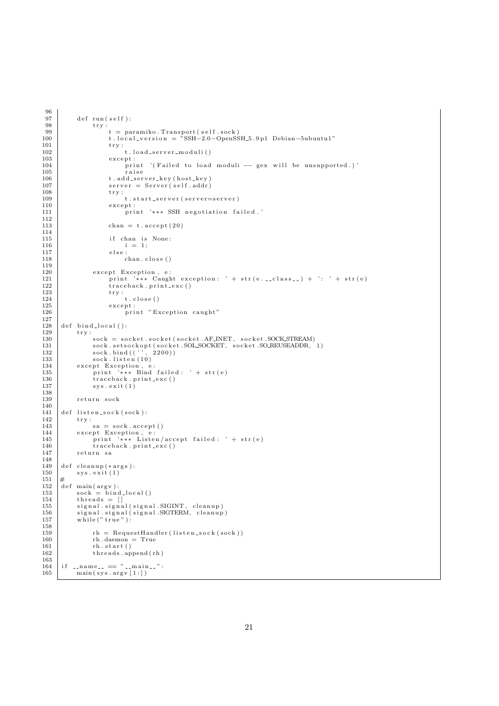```
\frac{96}{97}\begin{array}{c|c} 97 & \text{def run (self)}: \\ 98 & \text{try}: \end{array}\begin{array}{c|c}\n 98 \\
 99\n \end{array} try:
99 t = paramiko \cdot Transport(self.sock)<br>100 t \cdot local\_version = "SSH-2.0-OvensS100 t . local_version = \sqrt[3]{\text{SSH}-2.0} - \text{OpenSSH}_2.9 \text{ p1} Debian-5ubuntu1"<br>101
\begin{array}{c|c}\n 101 \\
 102\n \end{array} try:
102 t . load_server_moduli()<br>103 except:
                                  \verb|except|:104 print ' ( Failed to load moduli -- gex will be unsupported.)'<br>105
105 raise<br>106 t.add_ser
106 t. add_server_key (host_key)<br>107 server = Server (self. addr)
107 server = Server (self.addr)<br>
108 try:
108 \text{try}: \atop \text{109} try:
110 except:
111 | caser i o n i o n i o n i o n i o n i o n i o n i o n i o n i o n i o n i o n i o n i o n i o n i o n i o n i o n i o n i o n i o n i o n i o n i o n i o n i o n i o n i o n i o n i o n i o n i o n i o n i o n i o 
\begin{array}{c} 112 \\ 113 \end{array}\text{chan} = \text{t} \cdot \text{accept}(20)114
115 if chan is None:
\begin{array}{c|c} 116 & \text{ } & \text{i} = 1; \\ 117 & \text{ } & \text{ } \\ \end{array}\begin{array}{c|c} 117 & \text{else :} \\ 117 & \text{else :} \\ 118 & \text{else :} \end{array}chan . close ()
\frac{119}{120}120 except Exception, e:<br>
121 print '*** Caugh
                                 print '*** Caught exception: ' + str(e...class..) + ': ' + str(e)
\begin{array}{c|c}\n 122 & \text{traceback.print\_exc ()} \\
 123 & \text{try:}\n \end{array}\begin{array}{c|c} 123 & \text{try}: \\ 124 & \text{t.close} \end{array}\begin{array}{c|c}\n 125 \\
 \hline\n 126\n \end{array} except:
                                         print "Exception caught"
\frac{127}{128}\begin{array}{c|c} 128 \\ 129 \\ 129 \end{array} def bind_local():
\begin{array}{c|c} 129 & \text{try :} \\ 130 & \end{array}130 sock = socket . socket ( socket . AF INET, socket . SOCK STREAM)<br>131 sock . setsockopt ( socket . SOL SOCKET, socket . SO. REUSEADDR,
131 sock.setsockopt(socket.SOLSOCKET, socket.SO_REUSEADDR, 1)<br>132 sock.bind(('', 2200))
132 sock.bind (('', 2200))<br>133 sock.listen (10)
134 except Exception, e:<br>
135 print '∗∗∗ Bind failed: ' + str(e)<br>
136 traceback.print_exc()
137 sys. exit (1)\frac{138}{139}return sock
140
141 def listen_sock(sock):<br>
142 try:
\begin{array}{c|c} 142 & \text{try :} \\ 143 & \end{array}143 \begin{array}{c} sa = sock . accept ()<br>144 except Exception e:
144 except Exception, e:<br>145 print '*** Listen/accept failed: ' + str(e)
146 traceback.print_exc()
147 return sa
\frac{148}{149}\begin{array}{c|c} 149 & \text{def} \text{cleanup}(*\text{args}): \\ 150 & \text{sys}.\text{exit}(1) \end{array}sys \cdot exit (1)<br>#
151\,\begin{array}{c|c}\n152 & \text{def } \text{main (argv)}: \\
\hline\n153 & \text{sock} = \text{bind}\n\end{array}\begin{array}{c|c}\n 153 & \text{sock} = \text{bind}\, \text{local} \text{)}\n 154 & \text{threads} = \text{[]}\n \end{array}154 threads = []<br>155 signal.signal(signal.SIGINT, cleanup)
156 signal.signal(signal.SIGTERM, cleanup)<br>157 while ("true"):
                  \widetilde{\text{while}} (" true"):
158
\begin{array}{c|c|c|c} \n 159 & \text{rh} = \text{RequestHandler} \left( \text{listen}.\text{sock} \left( \text{sock} \right) \right) \\ \n 160 & \text{rh}.\text{daemon} = \text{True} \n\end{array}\begin{array}{c|c}\n160 \\
160 \\
161\n\end{array} rh . daemon = True<br>
\begin{array}{c}\n160 \\
161\n\end{array} rh . start ()
161 rh . start ()<br>162 rh . start ()<br>threads . app
                         th reads.append(rh)\frac{163}{164}164 if \frac{164}{\text{main (svs. arev} [1:])}main ( sys . argv [1:] )
```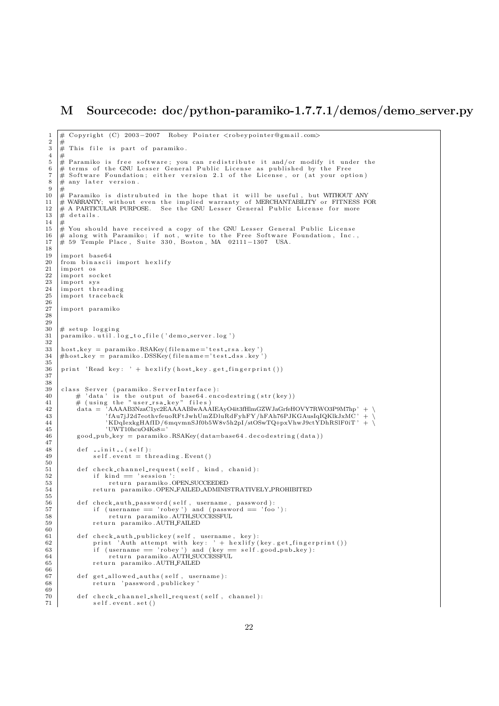# M Sourcecode: doc/python-paramiko-1.7.7.1/demos/demo\_server.py

```
\frac{1}{2} # Copyright (C) 2003-2007 Robey Pointer <robeypointer@gmail.com>
 \begin{array}{c|c}\n2 & \# \\
3 & \# \n\end{array}\frac{3}{4} \frac{4}{4} This file is part of paramiko.
 \begin{array}{c} 4 \\ 5 \end{array} #
 5 \mid \# Paramiko is free software; you can redistribute it and/or modify it under the<br>6 \mid \# terms of the GNU Lesser General Public License as published by the Free
 7 \# Software Foundation; either version 2.1 of the License, or (at your option)
 \begin{array}{c} 8 \\ 9 \end{array} # any later version.
\begin{array}{c|c}\n9 & \# \\
10 & \# \n\end{array}10 \# Paramiko is distrubuted in the hope that it will be useful, but WITHOUT ANY 11 \# WARRANTY; without even the implied warranty of MERCHANTABILITY or FITNESS FO
11 |# WARRANTY; without even the implied warranty of MERCHANTABILITY or FITNESS FOR<br>12 |# A PARTICULAR PURPOSE.  See the GNU Lesser General Public License for more
13 \neq details.
14
15 \frac{1}{\#} You should have received a copy of the GNU Lesser General Public License
16 |# along with Paramiko; if not, write to the Free Software Foundation, Inc.,<br>17 |# 59 Temple Place, Suite 330, Boston, MA 02111−1307 USA.
\frac{18}{19}import base64
20 \t from bin a scii import he x lify \n31 \t import os\begin{array}{c|c} 21 \overline{1} & \text{import os} \\ 22 & \text{import so} \end{array}22 |import socket<br>23 |import sys
24 import threading
25 import traceback
\frac{26}{27}import paramiko
28
\frac{29}{30}\begin{array}{c|c}\n30 & # \text{ setup } logging \\
31 & \text{paramiko } . \text{util } . \n\end{array}\sigma paramiko. util.log_to_file ('demo_server.log')
32
33 | host_key = paramiko.RSAKey(filename='test_rsa.key')<br>34 |#host_key = paramiko.DSSKey(filename='test_dss.key')
\frac{35}{36}print 'Read key: ' + h exlify (host_key.get_fingerprint ())
37
38
39 | class Server (paramiko ServerInterface):<br>40 | # 'data' is the output of base64.encodestring(str(key))
41 # ( u s i n g th e " u s e r r s a k e y " f i l e s )
42 data = 'AAAAB3NzaC1yc2EAAAABIwAAAIEAyO4it3fHlmGZWJaGrfeHOVY7RWO3P9M7hp ' + \
43 ' fAu7jJ2d7eothvfeuoRFtJwhUmZDluRdFyhFY/hFAh76PJKGAusIqIQKlkJxMC ' + \
44 ' KDqIexkgHAfID /6mqvmnSJf0b5W8v5h2pI/stOSwTQ+pxVhwJ9ctYDhRSlF0iT ' + \
45 'UWT10hcuO4Ks8= '
46 good_pub_key = paramiko. RSAKey(data=base64. decodestring (data))
\frac{47}{48}\begin{array}{c|c} 48 & \text{def} & \text{.init} \\ 49 & \text{self. event} = \text{th} \end{array}self.event = threading.Event()50
51 def check_channel_request (self, kind, chanid):
52 if kind == 'session':<br>53 return paramiko OPEN_SUCCEEDED
54 return paramiko .OPEN FAILED ADMINISTRATIVELY PROHIBITED
\frac{55}{56}56 def check_auth_password(self, username, password):<br>57 if (username = 'robey') and (password = 'foo
57 if (username == 'robey') and (password == 'foo'):<br>58 return paramiko AUTH_SUCCESSFUL
59 return paramiko AUTH FAILED
\begin{array}{c} 60 \\ 61 \end{array}def check_auth_publickey(self, username, key):
62 print 'Auth attempt with key: ' + h exlify (key.get_fingerprint ())<br>63 if (username == 'robey') and (key == self.good_pub_key):<br>return paramiko.AUTH_SUCCESSFUL
65 return paramiko .AUTH_FAILED
66
67 def get_allowed_auths(self, username):<br>68 return 'password, publickey'
                    return 'password, publickey
\frac{69}{70}def check_channel_shell_request (self, channel):
                    self. event. set()
```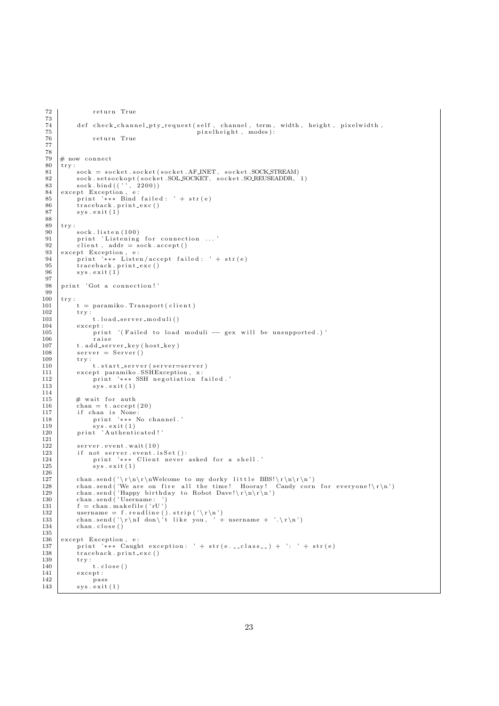```
72 return True
 \frac{73}{74}<sup>74</sup> def check_channel_pty_request(self, channel, term, width, height, pixelwidth,<br>
<sup>75</sup>
 75 pixelheight, modes):<br>
76 pixelheight, modes):
                          return True
 77
 78
 \begin{array}{c|c}\n79 \\
80 \\
\text{trv} \\
\end{array}\begin{array}{c|c} 80 & \text{try :} \\ 81 & \end{array}81 s o c k = s o c k e t . s o c k e t ( s o c k e t . AF INET , s o c k e t .SOCK STREAM)
82 s o c k . s e t s o c k o p t ( s o c k e t . SOL SOCKET , s o c k e t .SO REUSEADDR, 1 )
 \begin{array}{c|c} 83 & \text{sock}, \text{bind}((\cdot, \cdot, 2200)) \\ 84 & \text{except} \end{array}84 except Exception, e:<br>85 print '*** Bind failed: ' + str(e)<br>86 traceback.print_exc()
 87 sys. exit (1)88
 \begin{array}{c|c} 89 \\ 90 \end{array} try:
  90 sock.listen(100)<br>91 print 'Listening for connection ...'<br>92 client, addr = sock.accept()
 \begin{array}{c|c} 93 \overline{3} & \text{except Exception, e:} \\ 94 & \text{print} & \text{***} \end{array}94 print '*** Listen/accept failed: ' + str(e)<br>95 traceback.print_exc()
 95 \left\{\n \begin{array}{c}\n \text{traceback. print\_exc}\n \text{)}\n \end{array}\n \right.sys. exist (1)97
 98 print 'Got a connection!'
\frac{99}{100}\begin{array}{c|c} 100 & \text{try :} \\ 101 & \end{array}\begin{array}{c|c} 101 & t = \text{paramiko} \cdot \text{Transport} (\text{ client}) \\ \hline 102 & \text{trv} \end{array}\begin{array}{c|c} 102 \\ 103 \end{array} try:
                         t . load_server_moduli()
\begin{array}{c|c} 104 & \text{except:} \\ 105 & \text{or:} \end{array}105 print '(Failed to load moduli -- gex will be unsupported.)'<br>106
106 raise<br>107 t.add_ser
107 t. add_server_key(host_key)<br>108 server = Server()
                  server = Server()109 \qquad \qquad \text{try :}110 t. start server (server=server)
111 except paramiko.SSHException, x:<br>112 print '*** SSH negotiation failed.'
113 sys. exit (1)
\frac{114}{115}\begin{array}{c|c} 115 \\ 116 \end{array} # wait for auth <br>116 chan = t.accept
                  \text{chan} = \text{t} \cdot \text{accept}(20)117 if chan is None:<br>118 print '*** No channel.'
119 sys.exit (1)<br>
120 print 'Authenticated!'
\frac{121}{122}122 server.event.wait(10)<br>123 if not server event i
123 if not server.event.isSet():<br>124 print '∗∗∗ Client never asked for a shell.'
125 sys. exit (1)
\frac{126}{127}chan.send('\r\n\r\nWelcome to my dorky little BBS!\r\n\r\n')<br>128      chan.send('We are on fire all the time! Hooray! Candy corn for everyone!\r\n')<br>129      chan.send('Happy birthday to Robot Dave!\r\n\r\n')
130 chan . send ('Username: ')<br>131 f = chan . makefile ('rU')
132 username = f.readline().strip('\r\n')<br>133 chan.send('\r\nI don\'t like you, ' + username + '.\r\n')
134 chan . close ()
\begin{array}{c} 135 \\ 136 \end{array}\begin{array}{c|c} 136 \overline{\smash{\big)} 137} & \text{except Exception, e:} \\ 137 & \text{print} \end{array}137 print '∗∗∗ Caught exception: ' + str(e.__class__) + ': ' + str(e)<br>138 traceback.print_exc()
\begin{array}{c|c}\n 138 & \text{traceback. print\_exc}\n \end{array}\begin{array}{c|c}\n 139 \\
 140\n \end{array} try:
\begin{array}{c|c} 140 & t & . \end{array} close ()
                  {\tt except:}\begin{array}{c|c}\n 142 & \text{pass} \\
 143 & \text{sys}.\text{exit}\n \end{array}svs.ext{ext}(1)
```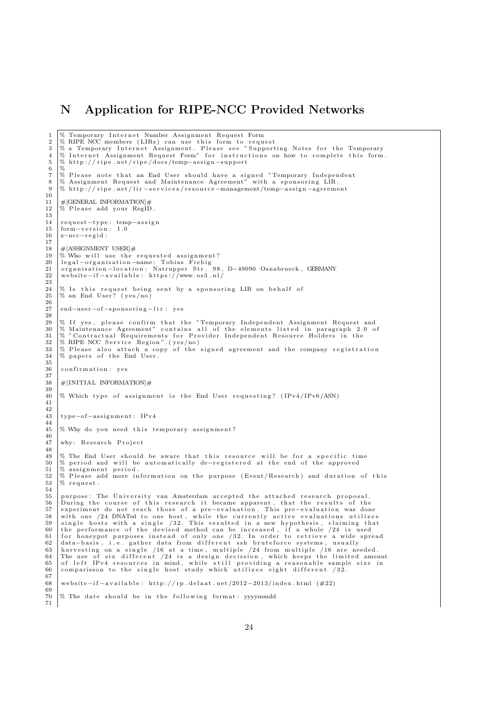### N Application for RIPE-NCC Provided Networks

1 % Temporary Internet Number Assignment Request Form<br>2 % RIPE NCC members (LIRs) can use this form to requ 2 | % RIPE NCC members (LIRs) can use this form to request<br>3 | % a Temporary Internet Assignment. Please see "Supporting Notes for the Temporary<br>4 | % Internet Assignment Request Form" for instructions on how to complete t  $\frac{5}{6}$   $\frac{8}{3}$  http://ripe.net/ripe/docs/temp-assign-support 6 % 7 % Please note that an End User should have a signed "Temporary Independent<br>8 % Assignment Request and Maintenance Agreement" with a sponsoring LIR.<br>9 % http://ripe.net/lir-services/resource-management/temp-assign-agreeme  $\begin{array}{c} 10 \\ 11 \end{array}$ 11  $\#$ [GENERAL INFORMATION]#<br>12 % Please add vour RegiD Please add your RegID. 13 14 request-type: temp-assign  $15$  form-version: 1.0<br> $16$  x-ncc-regid: x-ncc-regid :  $\frac{17}{18}$  $\frac{18}{19}$  #[ASSIGNMENT USER]# 19 % Who will use the requested assignment?<br>20 legal-organisation-name: Tobias Fiebig<br>21 organisation-location: Natrupper Str. 98, D-49090 Osnabrueck, GERMANY<br>22 website-if-available: https://www.os3.nl/  $\frac{23}{24}$ 24 |% Is this request being sent by a sponsoring LIR on behalf of<br>25 |% an End User? (yes/no) 26 27 end-user-of-sponsoring-lir : yes  $\frac{28}{29}$ 29 % If yes, please confirm that the "Temporary Independent Assignment Request and<br>30 % Maintenance Agreement" contains all of the elements listed in paragraph 2.0 of<br>31 % "Contractual Requirements for Provider Independent 32 % RIPE NCC Service Region". (yes/no) 33 |% Please also attach a copy of the signed agreement and the company registration<br>34 |% papers of the End User. 35 36 confirmation: yes  $\frac{37}{38}$  $\#$ [INITIAL INFORMATION] $\#$ 39 40 % Which type of assignment is the End User requesting?  $(IPv4/IPv6/ASN)$ 41  $\begin{array}{c} 42 \\ 43 \end{array}$ type−of−assignment: IPv4 44 45 % Why do you need this temporary assignment?  $\frac{46}{47}$ why: Research Project  $\frac{48}{49}$ 49 |% The End User should be aware that this resource will be for a specific time<br>50 |% period and will be automatically de−registered at the end of the approved  $51 \, |\%$  assignment period.  $52 \frac{8}{96}$  P lease add more information on the purpose (Event/Research) and duration of this  $53 \frac{8}{96}$  request.  $%$  request.  $\frac{54}{55}$ 55 purpose: The University van Amsterdam accepted the attached research proposal.<br>56 During the course of this research it became apparent, that the results of the  $56$  During the course of this research it became apparent, that the results of the 57 experiment do not reach those of a pre-evaluation. This pre-evaluation was don 57 experiment do not reach those of a pre-evaluation. This pre-evaluation was done<br>58 with one /24 DNATed to one host, while the currently active evaluations utilizes<br>59 single hosts with a single /32. This resulted in a 62 data-basis, i.e. gather data from different ssh bruteforce systems, usually<br>63 harvesting on a single /16 at a time, multiple /24 from multiple /16 are needed.<br>65 of left IPv4 resources in mind, while still providing a  $\frac{67}{68}$ website-if-available: http://rp.delaat.net/2012-2013/index.html (#22) 69 % The date should be in the following format: yyyymmdd  $^{70}_{71}$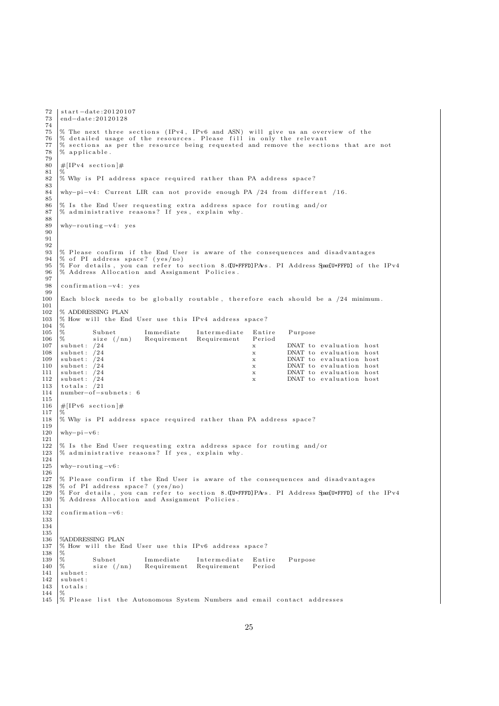```
72 start −date: 20120107
       end−date : 20120128
 \begin{array}{c} 73 \\ 74 \\ 75 \end{array}75 % The next three sections (IPv4, IPv6 and ASN) will give us an overview of the 76 % detailed usage of the resources. Please fill in only the relevant
 76 % detailed usage of the resources. Please fill in only the relevant 77 % sections as per the resource being requested and remove the section
 77 % sections as per the resource being requested and remove the sections that are not 78 % applicable.
       % applicable.
 \begin{array}{c} 79 \\ 80 \end{array}\#[ IPv4 section ] \#\frac{81}{82}\% Why is PI address space required rather than PA address space?
 83
       why-pi-v4: Current LIR can not provide enough PA /24 from different /16.
 \frac{85}{86}86 |% Is the End User requesting extra address space for routing and/or<br>87 |% administrative reasons? If yes, explain why.
 \begin{array}{c} 88 \\ 89 \end{array}why-routing-v4: yes
 90^{\circ}91
 \frac{92}{93}\frac{93}{93} % Please confirm if the End User is aware of the consequences and disadvantages \frac{94}{96} of PI address space? (ves/no)
 94 \times 10^{10} of PI address space? (yes/no)<br>95 % For details, you can refer to
 95 % For details, you can refer to section 8. [U+FFFD]PAvs. PI Address Space[U+FFFD] of the IPv4 96 % Address Allocation and Assignment Policies
       % Address Allocation and Assignment Policies.
 97
 98 confirmation -v4: yes
\frac{99}{100}Each block needs to be globally routable, therefore each should be a /24 minimum.
\frac{101}{102}102 \% ADDRESSING PLAN<br>103 \% How will the Eng
       % How will the End User use this IPv4 address space?
104 %
105 % Subnet Immediate Intermediate Entire Purpose<br>106 % size (/nn) Requirement Requirement Period
106 \frac{\%}{\$} size (/nn) Requirement Requirement 107
\begin{tabular}{llllllll} \textbf{107} & \textbf{subnet}: & /24 & & & & & \textbf{x} & & \textbf{DNAT to evaluation host} \\ \textbf{subnet}: & /24 & & & & \textbf{x} & & \textbf{DNAT to evaluation host} \\ \textbf{subnet}: & /24 & & & & \textbf{x} & & \textbf{DNAT to evaluation host} \\ \end{tabular}DNAT to evaluation host
109 subnet: /24 x DNAT to evaluation host<br>110 subnet: /24 x DNAT to evaluation host
110 subnet: /24 x DNAT to evaluation host<br>
111 subnet: /24 x DNAT to evaluation host<br>
112 subnet: /24 x DNAT to evaluation host
111 subn e t : /24 x DNAT t o e v a l u a t i o n h o s t
112 subn e t : /24 x DNAT t o e v a l u a t i o n h o s t
\begin{array}{c|c} 113 & \text{total s} : /21 \\ 114 & \text{number—of--s} \end{array}number-of-subnets: 6
\frac{115}{116}\#[IPv6 section]#
\frac{117}{118}% Why is PI address space required rather than PA address space?
119<br>120
       why-pi-v6:
\frac{121}{122}122 |% Is the End User requesting extra address space for routing and/or<br>123 |% administrative reasons? If yes, explain why.
\begin{array}{c} 124 \\ 125 \end{array}whv-routing-v6:
\frac{126}{127}% Please confirm if the End User is aware of the consequences and disadvantages
128 |% of PI address space? (yes/no)<br>129 |% For details, you can refer to section 8.QU+FFFD]PAvs. PI Address SpaceU+FFFD] of the IPv4
130 % Address Allocation and Assignment Policies.
\begin{array}{c} 131 \\ 132 \end{array}confirmation -v6:
133
134
\frac{135}{136}136 %ADDRESSING PLAN<br>137 % How will the E
       % How will the End User use this IPv6 address space?
\frac{138}{139}139 % Subnet Immediate Intermediate Entire Purpose<br>
140 % size (/nn) Requirement Requirement Period
140 \begin{array}{l} \% \\ \text{subnet:} \end{array} size (/nn) Requirement Requirement 141
       subnet :
\begin{array}{c|c} 142 & \text{subnet :} \\ 143 & \text{total s :} \end{array}totals:
\begin{array}{c|c}\n 144 & \times \\
 145 & \times\n \end{array}% Please list the Autonomous System Numbers and email contact addresses
```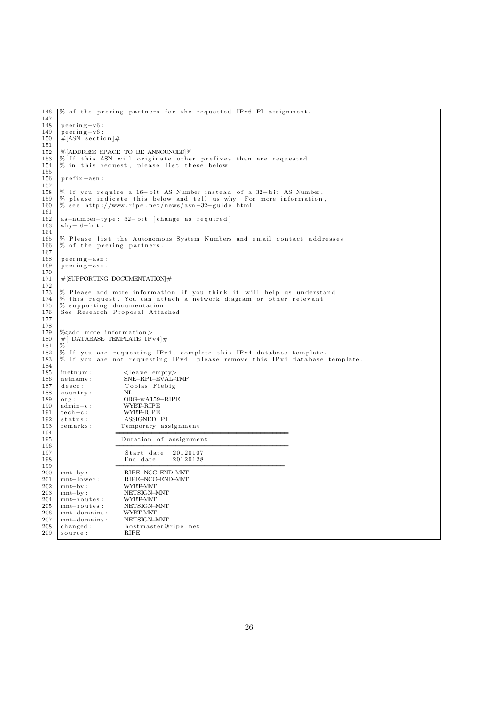```
146 |% of the peering partners for the requested IPv6 PI assignment.
\frac{147}{148}\begin{array}{c|c} 148 & \text{peering--v6:} \\ 149 & \text{peering--v6:} \end{array}\begin{array}{c|c} 149 & \text{pering-v6:} \\ 150 & \text{\#[ASN section] \end{array}H[ASN] section ]\#\frac{151}{152}152 %[ADDRESS SPACE TO BE ANNOUNCED]%<br>153 % If this ASN will originate other
153 |% If this ASN will originate other prefixes than are requested<br>154 |% in this request, please list these below.
\frac{155}{156}prefix-asn:
\frac{157}{158}158 % If you require a 16-bit AS Number instead of a 32-bit AS Number,<br>159 % please indicate this below and tell us why. For more information,<br>160 % see http://www.ripe.net/news/asn-32-guide.html
\begin{array}{c} 161 \\ 162 \end{array}162 \begin{bmatrix} 162 & 163 \\ \text{why} & -16 - \text{bit} \end{bmatrix}: 32-bit \begin{bmatrix} \text{change as required} \end{bmatrix}why−16−bit :
164
165 \% P lease list the Autonomous System Numbers and email contact addresses<br>166 \% of the peering partners
       % of the peering partners.
\frac{167}{168}168 peering-asn:<br>169 peering-asn:
        peering-asn:
170
        \#[SUPPORTING DOCUMENTATION] \#\frac{172}{173}173 % Please add more information if you think it will help us understand 174 % this request. You can attach a network diagram or other relevant
174 % this request. You can attach a network diagram or other relevant<br>175 % supporting documentation.
175 % supporting documentation.<br>176 See Research Proposal Attac
       See Research Proposal Attached.
177
\frac{178}{179}179 |%<add more information><br>180 |#[DATABASE TEMPLATE IPv4]#
\begin{array}{c} 181 \\ 182 \end{array}182 |% If you are requesting IPv4, complete this IPv4 database template.<br>183 |% If you are not requesting IPv4, please remove this IPv4 database template.
\frac{184}{185}185 inetnum : <l e a v e empty>
186 netname : SNE−RP1−EVAL−TMP
187 descr: Tobias Fiebig<br>188 country: NL
\begin{array}{c|c} 188 & \text{country:} \\ 189 & \text{org:} \end{array}188 country: NL<br>
189 org: ORG–wA159–RIPE<br>
190 admin–c: WYRE-RIPE
        \overline{\text{admin-c}} :
191 tech−c: WYBT–RIPE<br>192 status: ASSIGNED
192 status: ASSIGNED PI<br>
193 remarks: Temporary as
193 remarks: Temporary assignment
194 ===========================================
195 Duration of assignment :<br>196
196 =197 Start date: 20120107<br>198 End date: 20120128
198 End date:
199 \qquad \qquad \qquad \qquad200 mnt−by: RIPE−NCC−END-MNT<br>201 mnt−lower : RIPE−NCC−END-MNT
                                   RIPE–NCC–END–MNT<br/>WYBT–MNT\begin{array}{c} 202 \\ 203 \end{array} mnt−by :
203 mnt−by: NETSIGN-MNI<br>204 mnt−routes: WYBT-MNT
204 mnt-routes: WYBT-MNT<br>205 mnt-routes: NETSIGN-MNT
205 | mnt-routes : NETSIGN-N<br>206 mnt-domains : WYBT-MNT
206 mnt−domains: WYBT-MNT<br>207 mnt−domains: NETSIGN-MNT
207 mnt-domains:<br>208 changed:
                                   hostmaster@ripe.net<br>RIPE
209 source:
```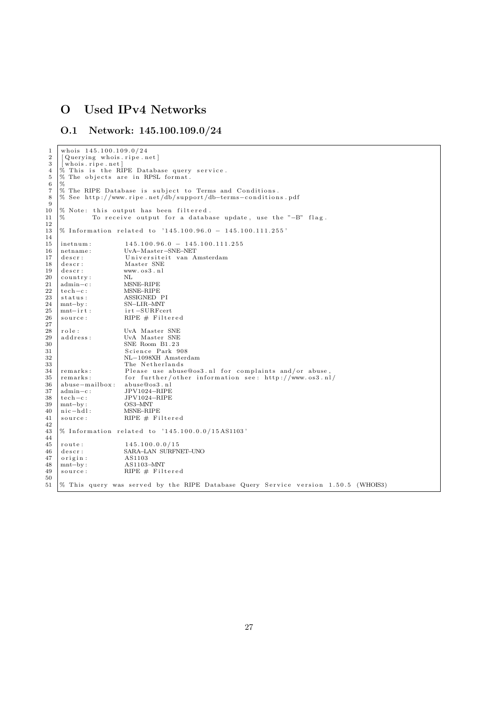# O Used IPv4 Networks

### O.1 Network: 145.100.109.0/24

```
\frac{1}{2} whois 145.100.109.0/24<br>[Querying whois ripe.n]
 \begin{array}{c|c} 2 & \text{[Querying whois.ripe.net]} \\ 3 & \text{[whose.ripe.net]} \end{array}\frac{3}{4} who is . ripe . net ]
  4 % This is the RIPE Database query service.<br>5 % The objects are in RPSL format.
 rac{6}{7} \frac{9}{9}7 \begin{array}{l} 7 \ \hline \end{array} The RIPE Database is subject to Terms and Conditions.<br>8 % See http://www.ripe.net/db/support/db-terms-condition
      8 % See h t tp : / /www . r i p e . n e t /db/ supp o r t /db−terms−c o n d i t i o n s . pd f
 9
\begin{array}{c|c|c|c|c} \n10 & \% & \text{Note: this output has been filtered.} \n11 & \% & \text{To receive output for a database.} \n\end{array}11 |% To receive output for a database update, use the "-B" flag.
\begin{array}{c} 12 \\ 13 \end{array}% Information related to '145.100.96.0 - 145.100.111.255'
\begin{array}{c} 14 \\ 15 \end{array}15 inetnum : 145.100.96.0 − 145.100.111.255<br>16 netname : UvA-Master-SNE-NET
                                    16 netname : UvA−Master−SNE−NET
17 descr: Universiteit van Amsterdam<br>18 descr: Master SNE
\begin{array}{ccc} 19 \\ 19 \\ 20 \end{array} descr: www.os3.nl<br>
\begin{array}{ccc} 20 \\ 20 \\ 20 \end{array} www.os3.nl
20 country:<br>21 admin-c:
21 \begin{array}{l} \text{admin} - \text{c} : \\ \text{13.14} \end{array} MSNE–RIPE
\begin{array}{c|c} 22 & \text{tech} - \text{c} : \\ 23 & \text{status}: \end{array}23 status: ASSIGNED PI<br>
24 mnt-by: SN-LIR-MNT
24 mnt−by: SN−LIR−MNT<br>25 mnt−irt: irt –SURFce
25 mnt−irt : irt −SURFcert<br>26 source : RIPE # Filte:
                                    RIPE \# Filtered
\frac{27}{28}28 r o l e : UvA Master SNE
29 a d d r e s s : UvA Master SNE
30<br>30 SNE Room B1.23<br>31 Science Park 9
31 Science Park 908<br>32 NL-1098XH Amster
32 NL−1098XH Amsterdam
33 The Netherlands<br>34 remarks: Please use abus
                                     Please use abuse@os3.nl for complaints and/or abuse
35 remarks: for further/other information see: http://www.os3.nl/
36 abuse−mailbox: abuse@os3.nl<br>37 admin-c: JPV1024-RIPE
\frac{37}{37} admin-c: JPV1024-RIPE<br>38 tech-c: JPV1024-RIPE
\begin{array}{c|c}\n 38 & \text{tech}-\text{c}: \\
 39 & \text{mnt}-\text{by}: \\
 \end{array} JPV1024−RIPE
\begin{array}{c|c}\n 39 & \text{mnt-by:} \\
 40 & \text{nic-bd1:} \\
 \end{array} OS3–MNT
40 nic−hdl: MSNE–RIPE<br>41 source: RIPE # Fi
                                    RIPE \# Filtered
\begin{array}{c} 42 \\ 43 \end{array}% Information related to '145.100.0.0/15AS1103'\begin{array}{c} 44 \\ 45 \end{array}45 route: 145.100.0.0/15<br>46 descr: SARA-LAN SURFN
46 descr: SARA–LAN SURFNET–UNO<br>47 origin: AS1103
       origin :
48 \begin{array}{l} \text{mnt-by:} \\ \text{mnt-by:} \\ \text{source:} \\ \text{RIPE} \# \text{Filt} \end{array}\frac{1}{2} source: RIPE # Filtered
\frac{50}{51}% This query was served by the RIPE Database Query Service version 1.50.5 (WHOIS3)
```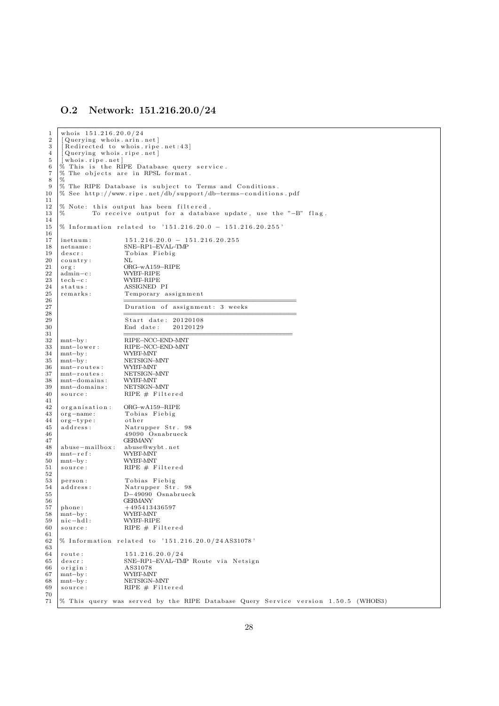### O.2 Network: 151.216.20.0/24

```
\frac{1}{2} whois \frac{151.216.20.0}{24}\begin{array}{c|c} 2 & \text{[Querying whois. arin.net]} \\ 3 & \text{[Reduced to whois. rise]} \end{array}\begin{bmatrix} 2 & 3 \\ 3 & 6 \end{bmatrix} [Redirected to whois ripe net:43]
 \frac{4}{5} [ Querying whois ripe net ]
 5 | [whois.ripe.net]<br>6 % This is the RIPE Database query service.
 7 \begin{array}{l} 7 \ \hline 8 \ 8 \end{array} The objects are in RPSL format.
 \begin{array}{c|c}\n8 & 2 \\
9 & 2\n\end{array}9 % The RIPE Database is subject to Terms and Conditions.<br>10 % See http://www.ripe.net/db/support/db-terms-condition
     10 % See h t tp : / /www . r i p e . n e t /db/ supp o r t /db−terms−c o n d i t i o n s . pd f
\begin{array}{c} 11 \\ 12 \end{array}12 \% Note: this output has been filtered.<br>13 \% To receive output for a databa
                To receive output for a database update, use the "-B" flag.
14
\frac{11}{15} % Information related to '151.216.20.0 − 151.216.20.255'
\frac{16}{17}17 inetnum : 151.216.20.0 − 151.216.20.255<br>18 netname : SNE-RP1-EVAL-TMP
18 netname: SNE–RP1–EVAL–TMP<br>19 descr: Tobias Fiebig
19 descr: Tobias Fiebig<br>20 country: NL
     \begin{array}{c} {\tt country:} \\ {\tt org:} \end{array}21 org: ORG-wA159-RIPE<br>
22 admin-c: WYBT-RIPE
22 \begin{array}{l} \text{admin} - \text{c} : \\ \text{6} \text{admin} - \text{c} : \end{array} WYBT-RIPE
23 tech−c : WYBT–RIPE<br>
24 status : ASSIGNED
24 status: ASSIGNED PI<br>25 remarks: Temporary a
25 remarks : Temporary assignment
26 \qquad \qquad \qquad =27 Duration of assignment: 3 weeks
28 \Box29 Start date: 20120108<br>30 End date: 20120129
30 End date:
3132 mnt−by : RIPE−NCC−END−MNT
33 mnt−l ow e r : RIPE−NCC−END−MNT
34 mnt−by: WYBT–MNT<br>35 mnt−by: NETSIGN–1
35 mnt−by: NETSIGN-MNT<br>36 mnt-routes: WYBT-MNT
\begin{array}{c|c}\n 36 & \text{mnt–routses:} \\
 37 & \text{mnt–routses:} \\
 \end{array}37 mnt−routes: NETSIGN-MNT<br>38 mnt-domains: WVREANT
     mnt-domains:39 mnt−doma ins : NETSIGN−MNT
40 source: RIPE \# Filtered\frac{41}{42}<sup>42</sup> organisation: ORG-wA159-RIPE<br>43 org-name: Tobias Fiebig
43 org-name: Tobias Fiebig<br>44 org-type: other
44 org-type:<br>45 address:
                             Natrupper Str. 98
46 49090 Osnabrueck
47 GERMANY
48 abuse−mailbox: abuse@wybt.net<br>49 mnt-ref: WYBT-MNT
\begin{array}{c|c}\n49 \\
50 \\
\hline\nmnt-by\n\end{array}:
50 mnt−by: WYBT–MNT<br>51 source: RIPE # F
                             RIPE \# Filtered
\frac{52}{53}person : Tobias Fiebig
54 a d d r e s s : Natrupper S t r . 98
55 D−49090 Osnabrueck
\begin{array}{c|c}\n 56 \\
 57 \\
  \text{phone:} \\
 495413\n\end{array}+495413436597
58 mnt−by: WYBT–MNT<br>59 nic−hdl: WYBT–RIP!
59 nic−hdl: WYBT–RIPE<br>60 source: RIPE # Fi
                             RIPE \# Filtered61<br>62% Information related to '151.216.20.0/24AS31078'63
     \frac{6}{151.216.20.0}{24}65 descr: SNE−RP1−EVAL−TMP Route via Netsign<br>66 origin: AS31078
66 origin: AS31078<br>67 mnt-by: WYBT-MN
67 mnt−by: WYBT–MNT<br>68 mnt−by: NETSIGN–1
68 mnt−by: NETSIGN-MNT<br>69 source: RIPE # Filte
                             RIPE \# Filtered
70
\overline{71} % This query was served by the RIPE Database Query Service version 1.50.5 (WHOIS3)
```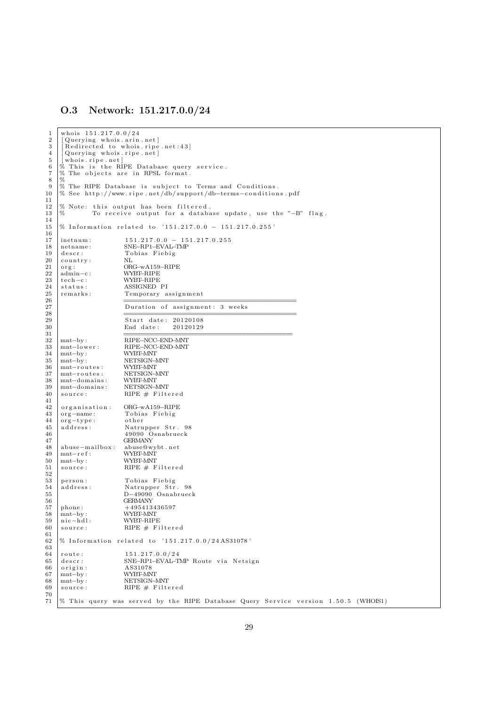### O.3 Network: 151.217.0.0/24

```
\frac{1}{2} who is \frac{151.217.0.0}{24}\begin{array}{c|c} 2 & \text{[Querying whois. arin.net]} \\ 3 & \text{[Reduced to whois. rise]} \end{array}\begin{bmatrix} 2 & 3 \\ 3 & 6 \end{bmatrix} [Redirected to whois ripe net:43]
 \frac{4}{5} \begin{bmatrix} \text{vacuum} & \text{cos} & \text{cos} \\ \text{Querying} & \text{whois. ripe. net} \end{bmatrix}5 | [whois.ripe.net]<br>6 % This is the RIPE Database query service.
 7 \begin{array}{l} 7 \ \hline 8 \ 8 \end{array} The objects are in RPSL format.
 \begin{array}{c|c}\n8 & 2 \\
9 & 2\n\end{array}9 % The RIPE Database is subject to Terms and Conditions.<br>10 % See http://www.ripe.net/db/support/db-terms-condition
     10 % See h t tp : / /www . r i p e . n e t /db/ supp o r t /db−terms−c o n d i t i o n s . pd f
\begin{array}{c} 11 \\ 12 \end{array}12 \% Note: this output has been filtered.<br>13 \% To receive output for a databa
                 To receive output for a database update, use the "-B" flag.
14
\frac{15}{15} % Information related to '151.217.0.0 − 151.217.0.255'
\frac{16}{17}17 |inetnum : 151.217.0.0 − 151.217.0.255<br>18 |netname : SNE-RP1-EVAL-TMP
18 netname: SNE–RP1–EVAL–TMP<br>19 descr: Tobias Fiebig
19 descr: Tobias Fiebig<br>20 country: NI.
     \begin{array}{c} {\tt country:} \\ {\tt org:} \end{array}21 org: ORG-wA159-RIPE<br>
22 admin-c: WYBT-RIPE
22 \begin{array}{l} \text{admin} - \text{c} : \\ \text{6} \text{admin} - \text{c} : \end{array} WYBT-RIPE
23 tech−c : WYBT–RIPE<br>
24 status : ASSIGNED
24 status: ASSIGNED PI<br>25 remarks: Temporary a
25 remarks : Temporary assignment
26 \qquad \qquad \qquad =27 Duration of assignment: 3 weeks
28 \Box29 Start date: 20120108<br>30 End date: 20120129
30 End date:
3132 mnt−by : RIPE−NCC−END−MNT
33 mnt−l ow e r : RIPE−NCC−END−MNT
34 mnt−by: WYBT–MNT<br>35 mnt−by: NETSIGN–1
35 mnt−by: NETSIGN-MNT<br>36 mnt-routes: WYBT-MNT
\begin{array}{c|c}\n 36 & \text{mnt–routses:} \\
 37 & \text{mnt–routses:} \\
 \end{array}37 mnt−routes: NETSIGN-MNT<br>38 mnt-domains: WVREANT
     mnt-domains:39 mnt−doma ins : NETSIGN−MNT
40 source: RIPE \# Filtered\frac{41}{42}<sup>42</sup> organisation: ORG-wA159-RIPE<br>43 org-name: Tobias Fiebig
43 org-name: Tobias Fiebig<br>44 org-type: other
44 org-type:<br>45 address:
                              Natrupper Str. 98
46 49090 Osnabrueck
47 GERMANY
48 abuse−mailbox: abuse@wybt.net<br>49 mnt-ref: WYBT-MNT
\begin{array}{c|c}\n49 \\
50 \\
\hline\nmnt-by\n\end{array}:
50 mnt−by: WYBT–MNT<br>51 source: RIPE # F
                              RIPE \# Filtered
\frac{52}{53}person : Tobias Fiebig
54 a d d r e s s : Natrupper S t r . 98
55 D−49090 Osnabrueck
\begin{array}{c|c}\n 56 \\
 57 \\
  \text{phone:} \\
 495413\n\end{array}+495413436597
58 mnt−by: WYBT–MNT<br>59 nic−hdl: WYBT–RIP!
59 nic−hdl: WYBT–RIPE<br>60 source: RIPE # Fi
                              RIPE \# Filtered61<br>62% Information related to '151.217.0.0/24AS31078'63
     \frac{6}{4} route: \frac{151.217.0.0}{24}65 descr: SNE−RP1−EVAL−TMP Route via Netsign<br>66 origin: AS31078
66 origin: AS31078<br>67 mnt-by: WYBT-MN
67 mnt−by: WYBT–MNT<br>68 mnt−by: NETSIGN–1
68 mnt−by: NETSIGN-MNT<br>69 source: RIPE # Filte
                              RIPE \# Filtered
70
\overline{71} % This query was served by the RIPE Database Query Service version 1.50.5 (WHOIS1)
```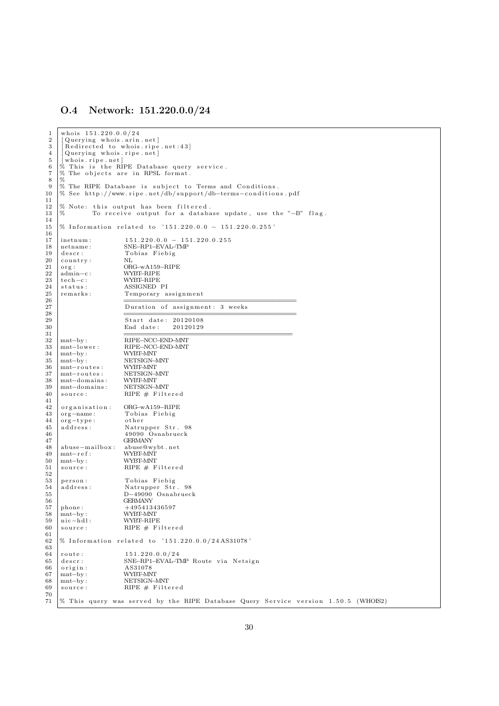### O.4 Network: 151.220.0.0/24

```
\frac{1}{2} who is \frac{151.220.0.0}{24}\begin{array}{c|c} 2 & \text{[Querying whois. arin.net]} \\ 3 & \text{[Reduced to whois. rise]} \end{array}\begin{bmatrix} 2 & 3 \\ 3 & 6 \end{bmatrix} [Redirected to whois ripe net:43]
 \frac{4}{5} [ Querying whois ripe net ]
 5 | [whois.ripe.net]<br>6 % This is the RIPE Database query service.
 7 \begin{array}{l} 7 \ \hline 8 \ 8 \end{array} The objects are in RPSL format.
 \begin{array}{c|c}\n8 & 2 \\
9 & 2\n\end{array}9 % The RIPE Database is subject to Terms and Conditions.<br>10 % See http://www.ripe.net/db/support/db-terms-condition
     10 % See h t tp : / /www . r i p e . n e t /db/ supp o r t /db−terms−c o n d i t i o n s . pd f
\begin{array}{c} 11 \\ 12 \end{array}12 \% Note: this output has been filtered.<br>13 \% To receive output for a databa
                 To receive output for a database update, use the "-B" flag.
14
\frac{15}{15} % Information related to '151.220.0.0 – 151.220.0.255'
\frac{16}{17}\begin{array}{|l|l|} \hline 17 & \text{intnum}: & 151.220.0.0 - 151.220.0.255 \ \hline \end{array}<br>18 netname: SNE-RP1-EVAL-TMP
18 netname: SNE–RP1–EVAL–TMP<br>19 descr: Tobias Fiebig
19 descr: Tobias Fiebig<br>20 country: NI.
     \begin{array}{c} {\tt country:} \\ {\tt org:} \end{array}21 org: ORG-wA159-RIPE<br>
22 admin-c: WYBT-RIPE
22 \begin{array}{l} \text{admin} - \text{c} : \\ \text{6} \text{admin} - \text{c} : \end{array} WYBT-RIPE
23 tech−c : WYBT–RIPE<br>
24 status : ASSIGNED
24 status: ASSIGNED PI<br>25 remarks: Temporary a
25 remarks : Temporary assignment
26 \qquad \qquad \qquad =27 Duration of assignment: 3 weeks
28 \Box29 Start date: 20120108<br>30 End date: 20120129
30 End date:
3132 mnt−by : RIPE−NCC−END−MNT
33 mnt−l ow e r : RIPE−NCC−END−MNT
34 mnt−by: WYBT–MNT<br>35 mnt−by: NETSIGN–1
35 mnt−by: NETSIGN-MNT<br>36 mnt-routes: WYBT-MNT
\begin{array}{c|c}\n 36 & \text{mnt–routses:} \\
 37 & \text{mnt–routses:} \\
 \end{array}37 mnt−routes: NETSIGN-MNT<br>38 mnt-domains: WVREANT
     mnt-domains:39 mnt−doma ins : NETSIGN−MNT
40 source: RIPE \# Filtered\frac{41}{42}<sup>42</sup> organisation: ORG-wA159-RIPE<br>43 org-name: Tobias Fiebig
43 org-name: Tobias Fiebig<br>44 org-type: other
44 org-type:<br>45 address:
                             Natrupper Str. 98
46 49090 Osnabrueck
47 GERMANY
48 abuse−mailbox: abuse@wybt.net<br>49 mnt-ref: WYBT-MNT
\begin{array}{c|c}\n49 \\
50 \\
\hline\nmnt-by\n\end{array}:
50 mnt−by: WYBT–MNT<br>51 source: RIPE # F
                             RIPE \# Filtered
\frac{52}{53}person : Tobias Fiebig
54 a d d r e s s : Natrupper S t r . 98
55 D−49090 Osnabrueck
\begin{array}{c|c}\n 56 \\
 57 \\
  \text{phone:} \\
 495413\n\end{array}+495413436597
58 mnt−by: WYBT–MNT<br>59 nic−hdl: WYBT–RIP!
59 nic−hdl: WYBT–RIPE<br>60 source: RIPE # Fi
                             RIPE \# Filtered61<br>62% Information related to '151.220.0.0/24AS31078'63
     \frac{\text{route:}}{\text{151.220.0.0724}}65 descr: SNE−RP1−EVAL−TMP Route via Netsign<br>66 origin: AS31078
66 origin: AS31078<br>67 mnt-by: WYBT-MN
67 mnt−by: WYBT–MNT<br>68 mnt−by: NETSIGN–1
68 mnt−by: NETSIGN-MNT<br>69 source: RIPE # Filte
                             RIPE \# Filtered
70
71\% This query was served by the RIPE Database Query Service version 1.50.5 (WHOIS2)
```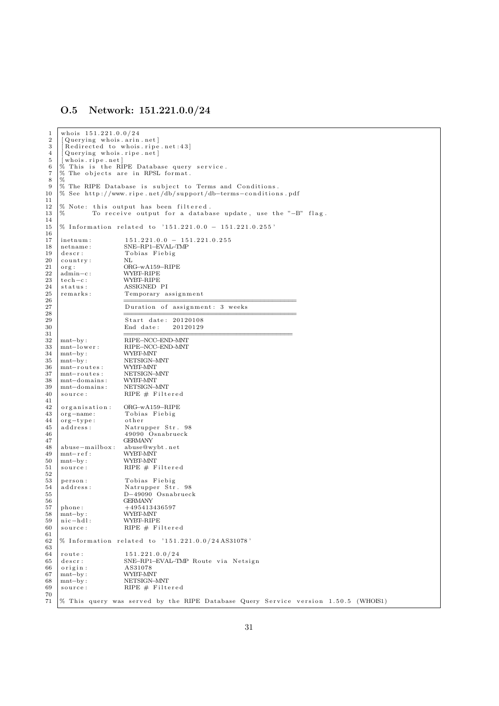### O.5 Network: 151.221.0.0/24

```
\frac{1}{2} who is \frac{151.221.0.0}{24}\begin{array}{c|c} 2 & \text{[Querying whois. arin.net]} \\ 3 & \text{[Reduced to whois. rise]} \end{array}\begin{bmatrix} 2 & 3 \\ 3 & 6 \end{bmatrix} [Redirected to whois ripe net:43]
 \frac{4}{5} \begin{bmatrix} \text{vacuum} & \text{cos} & \text{cos} \\ \text{Querying} & \text{whois. ripe. net} \end{bmatrix}5 | [whois.ripe.net]<br>6 % This is the RIPE Database query service.
 7 \begin{array}{l} 7 \ \hline 8 \ 8 \end{array} The objects are in RPSL format.
 \begin{array}{c|c}\n8 & 2 \\
9 & 2\n\end{array}9 % The RIPE Database is subject to Terms and Conditions.<br>10 % See http://www.ripe.net/db/support/db-terms-condition
     10 % See h t tp : / /www . r i p e . n e t /db/ supp o r t /db−terms−c o n d i t i o n s . pd f
\begin{array}{c} 11 \\ 12 \end{array}12 \% Note: this output has been filtered.<br>13 \% To receive output for a databa
                 To receive output for a database update, use the "-B" flag.
14
\frac{15}{15} % Information related to '151.221.0.0 – 151.221.0.255'
\frac{16}{17}\begin{array}{|l|l|} \hline 17 & \text{intnum}: & 151.221.0.0 & - 151.221.0.255 \\ \hline 18 & \text{netname}: & \text{SNE–RP1–EVAL–TMP} \end{array}18 netname: SNE–RP1–EVAL–TMP<br>19 descr: Tobias Fiebig
19 descr: Tobias Fiebig<br>20 country: NI.
     \begin{array}{c} {\tt country:} \\ {\tt org:} \end{array}21 org: ORG-wA159-RIPE<br>
22 admin-c: WYBT-RIPE
22 \begin{array}{l} \text{admin} - \text{c} : \\ \text{6} \text{admin} - \text{c} : \end{array} WYBT-RIPE
23 tech−c : WYBT–RIPE<br>
24 status : ASSIGNED
24 status: ASSIGNED PI<br>25 remarks: Temporary a
25 remarks : Temporary assignment
26 \qquad \qquad \qquad =27 Duration of assignment: 3 weeks
28 \Box29 Start date: 20120108<br>30 End date: 20120129
30 End date:
3132 mnt−by : RIPE−NCC−END−MNT
33 mnt−l ow e r : RIPE−NCC−END−MNT
34 mnt−by: WYBT–MNT<br>35 mnt−by: NETSIGN–1
35 mnt−by: NETSIGN-MNT<br>36 mnt-routes: WYBT-MNT
\begin{array}{c|c}\n 36 & \text{mnt–routses:} \\
 37 & \text{mnt–routses:} \\
 \end{array}37 mnt−routes: NETSIGN-MNT<br>38 mnt-domains: WVREANT
     mnt-domains:39 mnt−doma ins : NETSIGN−MNT
40 source: RIPE \# Filtered\frac{41}{42}<sup>42</sup> organisation: ORG-wA159-RIPE<br>43 org-name: Tobias Fiebig
43 org-name: Tobias Fiebig<br>44 org-type: other
44 org-type:<br>45 address:
                               Natrupper Str. 98
46 49090 Osnabrueck
47 GERMANY
48 abuse−mailbox: abuse@wybt.net<br>49 mnt-ref: WYBT-MNT
\begin{array}{c|c}\n49 \\
50 \\
\hline\nmnt-by\n\end{array}:
50 mnt−by: WYBT–MNT<br>51 source: RIPE # F
                              RIPE \# Filtered
\frac{52}{53}person : Tobias Fiebig
54 a d d r e s s : Natrupper S t r . 98
55 D−49090 Osnabrueck
\begin{array}{c|c}\n 56 \\
 57 \\
  \text{phone:} \\
 495413\n\end{array}+495413436597
58 mnt−by: WYBT–MNT<br>59 nic−hdl: WYBT–RIP!
59 nic−hdl: WYBT–RIPE<br>60 source: RIPE # Fi
                               RIPE \# Filtered61<br>62% Information related to '151.221.0.0/24AS31078'63
     \frac{6}{4} route: \frac{151.221.0.0}{24}65 descr: SNE−RP1−EVAL−TMP Route via Netsign<br>66 origin: AS31078
66 origin: AS31078<br>67 mnt-by: WYBT-MN
67 mnt−by: WYBT–MNT<br>68 mnt−by: NETSIGN–1
68 mnt−by: NETSIGN-MNT<br>69 source: RIPE # Filte
                               RIPE \# Filtered
70
\overline{71} % This query was served by the RIPE Database Query Service version 1.50.5 (WHOIS1)
```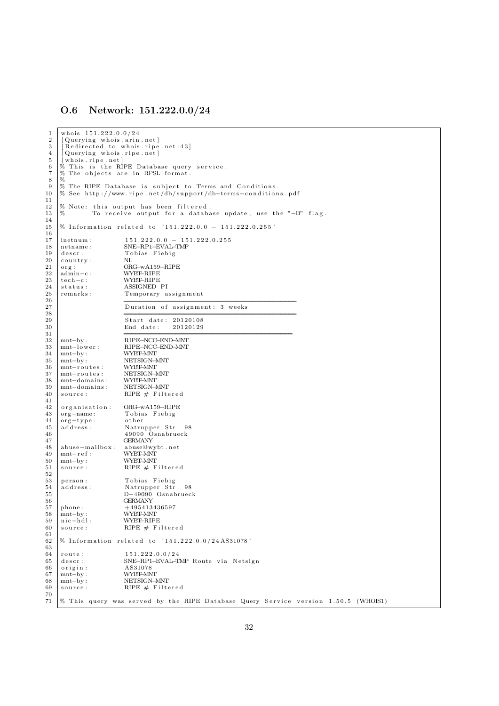### O.6 Network: 151.222.0.0/24

```
\frac{1}{2} who is \frac{151.222.0.0}{24}\begin{array}{c|c} 2 & \text{[Querying whois. arin.net]} \\ 3 & \text{[Reduced to whois. rise]} \end{array}\begin{bmatrix} 2 & 3 \\ 3 & 6 \end{bmatrix} [Redirected to whois ripe net:43]
 \frac{4}{5} [ Querying whois ripe net ]
 5 | [whois.ripe.net]<br>6 % This is the RIPE Database query service.
 7 \begin{array}{l} 7 \ \hline 8 \ 8 \end{array} The objects are in RPSL format.
 \begin{array}{c|c}\n8 & 2 \\
9 & 2\n\end{array}9 % The RIPE Database is subject to Terms and Conditions.<br>10 % See http://www.ripe.net/db/support/db-terms-condition
     10 % See h t tp : / /www . r i p e . n e t /db/ supp o r t /db−terms−c o n d i t i o n s . pd f
\begin{array}{c} 11 \\ 12 \end{array}12 \% Note: this output has been filtered.<br>13 \% To receive output for a databa
                To receive output for a database update, use the "-B" flag.
14
\frac{15}{15} % Information related to '151.222.0.0 − 151.222.0.255'
\frac{16}{17}17 |inetnum : 151.222.0.0 − 151.222.0.255<br>18 |netname : SNE-RP1-EVAL-TMP
18 netname: SNE–RP1–EVAL–TMP<br>19 descr: Tobias Fiebig
19 descr: Tobias Fiebig<br>20 country: NI.
     \begin{array}{c} {\tt country:} \\ {\tt org:} \end{array}21 org: ORG-wA159-RIPE<br>
22 admin-c: WYBT-RIPE
22 \begin{array}{l} \text{admin} - \text{c} : \\ \text{6} \text{admin} - \text{c} : \end{array} WYBT-RIPE
23 tech−c : WYBT–RIPE<br>
24 status : ASSIGNED
24 status: ASSIGNED PI<br>25 remarks: Temporary a
25 remarks : Temporary assignment
26 \qquad \qquad \qquad =27 Duration of assignment: 3 weeks
28 \Box29 Start date: 20120108<br>30 End date: 20120129
30 End date:
3132 mnt−by : RIPE−NCC−END−MNT
33 mnt−l ow e r : RIPE−NCC−END−MNT
34 mnt−by: WYBT–MNT<br>35 mnt−by: NETSIGN–1
35 mnt−by: NETSIGN-MNT<br>36 mnt-routes: WYBT-MNT
\begin{array}{c|c}\n 36 & \text{mnt–routses:} \\
 37 & \text{mnt–routses:} \\
 \end{array}37 mnt−routes: NETSIGN-MNT<br>38 mnt-domains: WVREANT
     mnt-domains:39 mnt−doma ins : NETSIGN−MNT
40 source: RIPE \# Filtered\frac{41}{42}<sup>42</sup> organisation: ORG-wA159-RIPE<br>43 org-name: Tobias Fiebig
43 org-name: Tobias Fiebig<br>44 org-type: other
44 org-type:<br>45 address:
                             Natrupper Str. 98
46 49090 Osnabrueck
47 GERMANY
48 abuse−mailbox: abuse@wybt.net<br>49 mnt-ref: WYBT-MNT
\begin{array}{c|c}\n49 \\
50 \\
\hline\nmnt-by\n\end{array}:
50 mnt−by: WYBT–MNT<br>51 source: RIPE # F
                             RIPE \# Filtered
\frac{52}{53}person : Tobias Fiebig
54 a d d r e s s : Natrupper S t r . 98
55 D−49090 Osnabrueck
\begin{array}{c|c}\n 56 \\
 57 \\
  \text{phone:} \\
 495413\n\end{array}+495413436597
58 mnt−by: WYBT–MNT<br>59 nic−hdl: WYBT–RIP!
59 nic−hdl: WYBT–RIPE<br>60 source: RIPE # Fi
                             RIPE \# Filtered61<br>62% Information related to '151.222.0.0/24AS31078'63
     \frac{6}{151.222.0.0724}65 descr: SNE−RP1−EVAL−TMP Route via Netsign<br>66 origin: AS31078
66 origin: AS31078<br>67 mnt-by: WYBT-MN
67 mnt−by: WYBT–MNT<br>68 mnt−by: NETSIGN–1
68 mnt−by: NETSIGN-MNT<br>69 source: RIPE # Filte
                             RIPE \# Filtered
70
\overline{71} % This query was served by the RIPE Database Query Service version 1.50.5 (WHOIS1)
```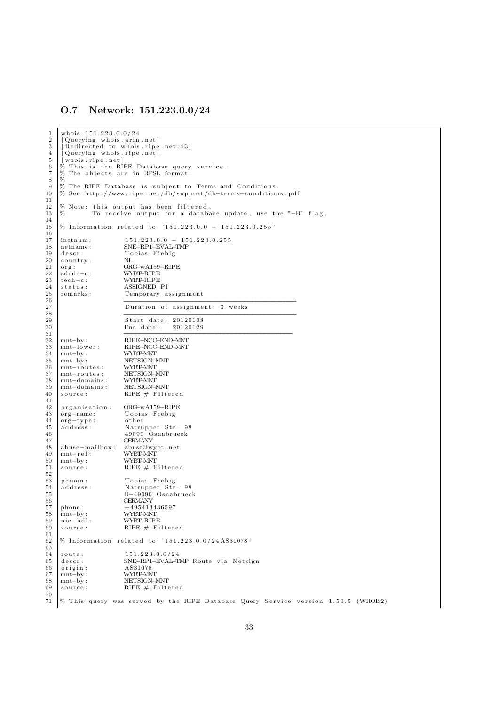### O.7 Network: 151.223.0.0/24

```
\frac{1}{2} who is \frac{151.223.0.0}{24}\begin{array}{c|c} 2 & \text{[Querying whois. arin.net]} \\ 3 & \text{[Reduced to whois. rise]} \end{array}\begin{bmatrix} 2 & 3 \\ 3 & 6 \end{bmatrix} [Redirected to whois ripe net:43]
 \frac{4}{5} \begin{bmatrix} \text{vacuum} & \text{cos} & \text{cos} \\ \text{Querying} & \text{whois. ripe. net} \end{bmatrix}5 | [whois.ripe.net]<br>6 % This is the RIPE Database query service.
 7 \begin{array}{l} 7 \ \hline 8 \ 8 \end{array} The objects are in RPSL format.
 \begin{array}{c|c}\n8 & 2 \\
9 & 2\n\end{array}9 % The RIPE Database is subject to Terms and Conditions.<br>10 % See http://www.ripe.net/db/support/db-terms-condition
     10 % See h t tp : / /www . r i p e . n e t /db/ supp o r t /db−terms−c o n d i t i o n s . pd f
\begin{array}{c} 11 \\ 12 \end{array}12 \% Note: this output has been filtered.<br>13 \% To receive output for a databa
                 To receive output for a database update, use the "-B" flag.
14
\frac{15}{15} % Information related to '151.223.0.0 − 151.223.0.255'
\frac{16}{17}17 |inetnum : 151.223.0.0 − 151.223.0.255<br>18 |netname : SNE-RP1-EVAL-TMP
18 netname: SNE–RP1–EVAL–TMP<br>19 descr: Tobias Fiebig
19 descr: Tobias Fiebig<br>20 country: NI.
     \begin{array}{c} {\tt country:} \\ {\tt org:} \end{array}21 org: ORG-wA159-RIPE<br>
22 admin-c: WYBT-RIPE
22 \begin{array}{l} \text{admin} - \text{c} : \\ \text{6} \text{admin} - \text{c} : \end{array} WYBT-RIPE
23 tech−c : WYBT–RIPE<br>
24 status : ASSIGNED
24 status: ASSIGNED PI<br>25 remarks: Temporary a
25 remarks : Temporary assignment
26 \qquad \qquad \qquad =27 Duration of assignment: 3 weeks
28 \Box29 Start date: 20120108<br>30 End date: 20120129
30 End date:
3132 mnt−by : RIPE−NCC−END−MNT
33 mnt−l ow e r : RIPE−NCC−END−MNT
34 mnt−by: WYBT–MNT<br>35 mnt−by: NETSIGN–1
35 mnt−by: NETSIGN-MNT<br>36 mnt-routes: WYBT-MNT
\begin{array}{c|c}\n 36 & \text{mnt–routses:} \\
 37 & \text{mnt–routses:} \\
 \end{array}37 mnt−routes: NETSIGN-MNT<br>38 mnt-domains: WVREANT
     mnt-domains:39 mnt−doma ins : NETSIGN−MNT
40 source: RIPE \# Filtered\frac{41}{42}<sup>42</sup> organisation: ORG-wA159-RIPE<br>43 org-name: Tobias Fiebig
43 org-name: Tobias Fiebig<br>44 org-type: other
44 org-type:<br>45 address:
                              Natrupper Str. 98
46 49090 Osnabrueck
47 GERMANY
48 abuse−mailbox: abuse@wybt.net<br>49 mnt-ref: WYBT-MNT
\begin{array}{c|c}\n49 \\
50 \\
\hline\nmnt-by\n\end{array}:
50 mnt−by: WYBT–MNT<br>51 source: RIPE # F
                              RIPE \# Filtered
\frac{52}{53}person : Tobias Fiebig
54 a d d r e s s : Natrupper S t r . 98
55 D−49090 Osnabrueck
\begin{array}{c|c}\n 56 \\
 57 \\
  \text{phone:} \\
 495413\n\end{array}+495413436597
58 mnt−by: WYBT–MNT<br>59 nic−hdl: WYBT–RIP!
59 nic−hdl: WYBT–RIPE<br>60 source: RIPE # Fi
                              RIPE \# Filtered61<br>62% Information related to '151.223.0.0/24AS31078'63
     \frac{\text{route:}}{\text{151.223.0.0724}}65 descr: SNE−RP1−EVAL−TMP Route via Netsign<br>66 origin: AS31078
66 origin: AS31078<br>67 mnt-by: WYBT-MN
67 mnt−by: WYBT–MNT<br>68 mnt−by: NETSIGN–1
68 mnt−by: NETSIGN-MNT<br>69 source: RIPE # Filte
                              RIPE \# Filtered
70
71\% This query was served by the RIPE Database Query Service version 1.50.5 (WHOIS2)
```